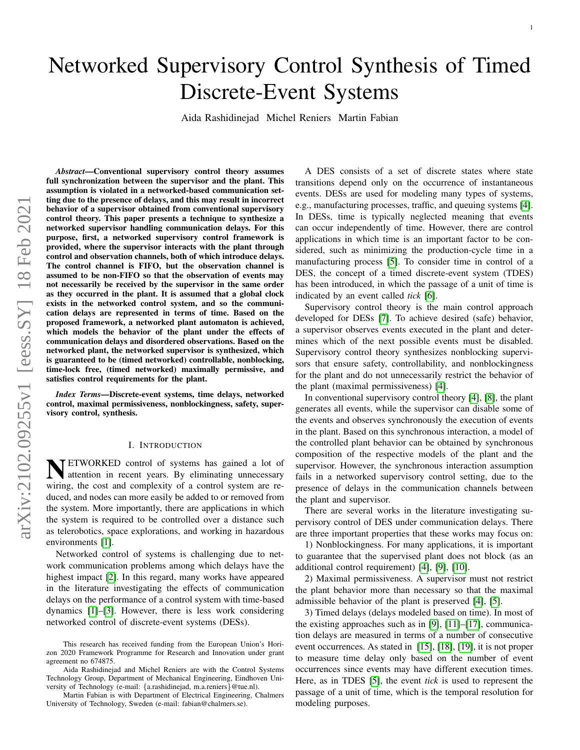# Networked Supervisory Control Synthesis of Timed Discrete-Event Systems

Aida Rashidinejad Michel Reniers Martin Fabian

*Abstract*—Conventional supervisory control theory assumes full synchronization between the supervisor and the plant. This assumption is violated in a networked-based communication setting due to the presence of delays, and this may result in incorrect behavior of a supervisor obtained from conventional supervisory control theory. This paper presents a technique to synthesize a networked supervisor handling communication delays. For this purpose, first, a networked supervisory control framework is provided, where the supervisor interacts with the plant through control and observation channels, both of which introduce delays. The control channel is FIFO, but the observation channel is assumed to be non-FIFO so that the observation of events may not necessarily be received by the supervisor in the same order as they occurred in the plant. It is assumed that a global clock exists in the networked control system, and so the communication delays are represented in terms of time. Based on the proposed framework, a networked plant automaton is achieved, which models the behavior of the plant under the effects of communication delays and disordered observations. Based on the networked plant, the networked supervisor is synthesized, which is guaranteed to be (timed networked) controllable, nonblocking, time-lock free, (timed networked) maximally permissive, and satisfies control requirements for the plant.

*Index Terms*—Discrete-event systems, time delays, networked control, maximal permissiveness, nonblockingness, safety, supervisory control, synthesis.

#### I. INTRODUCTION

N TETWORKED control of systems has gained a lot of attention in recent years. By eliminating unnecessary wiring, the cost and complexity of a control system are reduced, and nodes can more easily be added to or removed from the system. More importantly, there are applications in which the system is required to be controlled over a distance such as telerobotics, space explorations, and working in hazardous environments [\[1\]](#page-14-0).

Networked control of systems is challenging due to network communication problems among which delays have the highest impact [\[2\]](#page-15-0). In this regard, many works have appeared in the literature investigating the effects of communication delays on the performance of a control system with time-based dynamics [\[1\]](#page-14-0)–[\[3\]](#page-15-1). However, there is less work considering networked control of discrete-event systems (DESs).

Martin Fabian is with Department of Electrical Engineering, Chalmers University of Technology, Sweden (e-mail: fabian@chalmers.se).

A DES consists of a set of discrete states where state transitions depend only on the occurrence of instantaneous events. DESs are used for modeling many types of systems, e.g., manufacturing processes, traffic, and queuing systems [\[4\]](#page-15-2). In DESs, time is typically neglected meaning that events can occur independently of time. However, there are control applications in which time is an important factor to be considered, such as minimizing the production-cycle time in a manufacturing process [\[5\]](#page-15-3). To consider time in control of a DES, the concept of a timed discrete-event system (TDES) has been introduced, in which the passage of a unit of time is indicated by an event called *tick* [\[6\]](#page-15-4).

Supervisory control theory is the main control approach developed for DESs [\[7\]](#page-15-5). To achieve desired (safe) behavior, a supervisor observes events executed in the plant and determines which of the next possible events must be disabled. Supervisory control theory synthesizes nonblocking supervisors that ensure safety, controllability, and nonblockingness for the plant and do not unnecessarily restrict the behavior of the plant (maximal permissiveness) [\[4\]](#page-15-2).

In conventional supervisory control theory [\[4\]](#page-15-2), [\[8\]](#page-15-6), the plant generates all events, while the supervisor can disable some of the events and observes synchronously the execution of events in the plant. Based on this synchronous interaction, a model of the controlled plant behavior can be obtained by synchronous composition of the respective models of the plant and the supervisor. However, the synchronous interaction assumption fails in a networked supervisory control setting, due to the presence of delays in the communication channels between the plant and supervisor.

There are several works in the literature investigating supervisory control of DES under communication delays. There are three important properties that these works may focus on:

1) Nonblockingness. For many applications, it is important to guarantee that the supervised plant does not block (as an additional control requirement) [\[4\]](#page-15-2), [\[9\]](#page-15-7), [\[10\]](#page-15-8).

2) Maximal permissiveness. A supervisor must not restrict the plant behavior more than necessary so that the maximal admissible behavior of the plant is preserved [\[4\]](#page-15-2), [\[5\]](#page-15-3).

3) Timed delays (delays modeled based on time). In most of the existing approaches such as in [\[9\]](#page-15-7), [\[11\]](#page-15-9)–[\[17\]](#page-15-10), communication delays are measured in terms of a number of consecutive event occurrences. As stated in [\[15\]](#page-15-11), [\[18\]](#page-15-12), [\[19\]](#page-15-13), it is not proper to measure time delay only based on the number of event occurrences since events may have different execution times. Here, as in TDES [\[5\]](#page-15-3), the event *tick* is used to represent the passage of a unit of time, which is the temporal resolution for modeling purposes.

This research has received funding from the European Union's Horizon 2020 Framework Programme for Research and Innovation under grant agreement no 674875.

Aida Rashidinejad and Michel Reniers are with the Control Systems Technology Group, Department of Mechanical Engineering, Eindhoven University of Technology (e-mail: {a.rashidinejad, m.a.reniers}@tue.nl).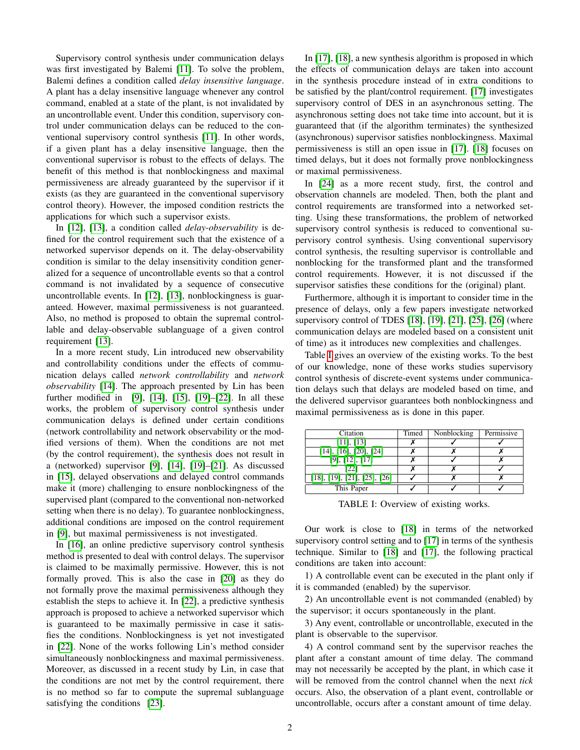Supervisory control synthesis under communication delays was first investigated by Balemi [\[11\]](#page-15-9). To solve the problem, Balemi defines a condition called *delay insensitive language*. A plant has a delay insensitive language whenever any control command, enabled at a state of the plant, is not invalidated by an uncontrollable event. Under this condition, supervisory control under communication delays can be reduced to the conventional supervisory control synthesis [\[11\]](#page-15-9). In other words, if a given plant has a delay insensitive language, then the conventional supervisor is robust to the effects of delays. The benefit of this method is that nonblockingness and maximal permissiveness are already guaranteed by the supervisor if it exists (as they are guaranteed in the conventional supervisory control theory). However, the imposed condition restricts the applications for which such a supervisor exists.

In [\[12\]](#page-15-14), [\[13\]](#page-15-15), a condition called *delay-observability* is defined for the control requirement such that the existence of a networked supervisor depends on it. The delay-observability condition is similar to the delay insensitivity condition generalized for a sequence of uncontrollable events so that a control command is not invalidated by a sequence of consecutive uncontrollable events. In [\[12\]](#page-15-14), [\[13\]](#page-15-15), nonblockingness is guaranteed. However, maximal permissiveness is not guaranteed. Also, no method is proposed to obtain the supremal controllable and delay-observable sublanguage of a given control requirement [\[13\]](#page-15-15).

In a more recent study, Lin introduced new observability and controllability conditions under the effects of communication delays called *network controllability* and *network observability* [\[14\]](#page-15-16). The approach presented by Lin has been further modified in [\[9\]](#page-15-7), [\[14\]](#page-15-16), [\[15\]](#page-15-11), [\[19\]](#page-15-13)–[\[22\]](#page-15-17). In all these works, the problem of supervisory control synthesis under communication delays is defined under certain conditions (network controllability and network observability or the modified versions of them). When the conditions are not met (by the control requirement), the synthesis does not result in a (networked) supervisor [\[9\]](#page-15-7), [\[14\]](#page-15-16), [\[19\]](#page-15-13)–[\[21\]](#page-15-18). As discussed in [\[15\]](#page-15-11), delayed observations and delayed control commands make it (more) challenging to ensure nonblockingness of the supervised plant (compared to the conventional non-networked setting when there is no delay). To guarantee nonblockingness, additional conditions are imposed on the control requirement in [\[9\]](#page-15-7), but maximal permissiveness is not investigated.

In [\[16\]](#page-15-19), an online predictive supervisory control synthesis method is presented to deal with control delays. The supervisor is claimed to be maximally permissive. However, this is not formally proved. This is also the case in [\[20\]](#page-15-20) as they do not formally prove the maximal permissiveness although they establish the steps to achieve it. In [\[22\]](#page-15-17), a predictive synthesis approach is proposed to achieve a networked supervisor which is guaranteed to be maximally permissive in case it satisfies the conditions. Nonblockingness is yet not investigated in [\[22\]](#page-15-17). None of the works following Lin's method consider simultaneously nonblockingness and maximal permissiveness. Moreover, as discussed in a recent study by Lin, in case that the conditions are not met by the control requirement, there is no method so far to compute the supremal sublanguage satisfying the conditions [\[23\]](#page-15-21).

In [\[17\]](#page-15-10), [\[18\]](#page-15-12), a new synthesis algorithm is proposed in which the effects of communication delays are taken into account in the synthesis procedure instead of in extra conditions to be satisfied by the plant/control requirement. [\[17\]](#page-15-10) investigates supervisory control of DES in an asynchronous setting. The asynchronous setting does not take time into account, but it is guaranteed that (if the algorithm terminates) the synthesized (asynchronous) supervisor satisfies nonblockingness. Maximal permissiveness is still an open issue in [\[17\]](#page-15-10). [\[18\]](#page-15-12) focuses on timed delays, but it does not formally prove nonblockingness or maximal permissiveness.

In [\[24\]](#page-15-22) as a more recent study, first, the control and observation channels are modeled. Then, both the plant and control requirements are transformed into a networked setting. Using these transformations, the problem of networked supervisory control synthesis is reduced to conventional supervisory control synthesis. Using conventional supervisory control synthesis, the resulting supervisor is controllable and nonblocking for the transformed plant and the transformed control requirements. However, it is not discussed if the supervisor satisfies these conditions for the (original) plant.

Furthermore, although it is important to consider time in the presence of delays, only a few papers investigate networked supervisory control of TDES [\[18\]](#page-15-12), [\[19\]](#page-15-13), [\[21\]](#page-15-18), [\[25\]](#page-15-23), [\[26\]](#page-15-24) (where communication delays are modeled based on a consistent unit of time) as it introduces new complexities and challenges.

Table [I](#page-1-0) gives an overview of the existing works. To the best of our knowledge, none of these works studies supervisory control synthesis of discrete-event systems under communication delays such that delays are modeled based on time, and the delivered supervisor guarantees both nonblockingness and maximal permissiveness as is done in this paper.

<span id="page-1-0"></span>

| Citation                                   | Timed | Nonblocking | Permissive |
|--------------------------------------------|-------|-------------|------------|
| $[11]$ , $[13]$                            |       |             |            |
| $[14]$ , $[16]$ , $[20]$ , $[24]$          |       |             |            |
| $[9]$ , $[12]$ , $[17]$                    |       |             |            |
| [22]                                       |       |             |            |
| $[18]$ , $[19]$ , $[21]$ , $[25]$ , $[26]$ |       |             |            |
| This Paper                                 |       |             |            |

TABLE I: Overview of existing works.

Our work is close to [\[18\]](#page-15-12) in terms of the networked supervisory control setting and to [\[17\]](#page-15-10) in terms of the synthesis technique. Similar to [\[18\]](#page-15-12) and [\[17\]](#page-15-10), the following practical conditions are taken into account:

1) A controllable event can be executed in the plant only if it is commanded (enabled) by the supervisor.

2) An uncontrollable event is not commanded (enabled) by the supervisor; it occurs spontaneously in the plant.

3) Any event, controllable or uncontrollable, executed in the plant is observable to the supervisor.

4) A control command sent by the supervisor reaches the plant after a constant amount of time delay. The command may not necessarily be accepted by the plant, in which case it will be removed from the control channel when the next *tick* occurs. Also, the observation of a plant event, controllable or uncontrollable, occurs after a constant amount of time delay.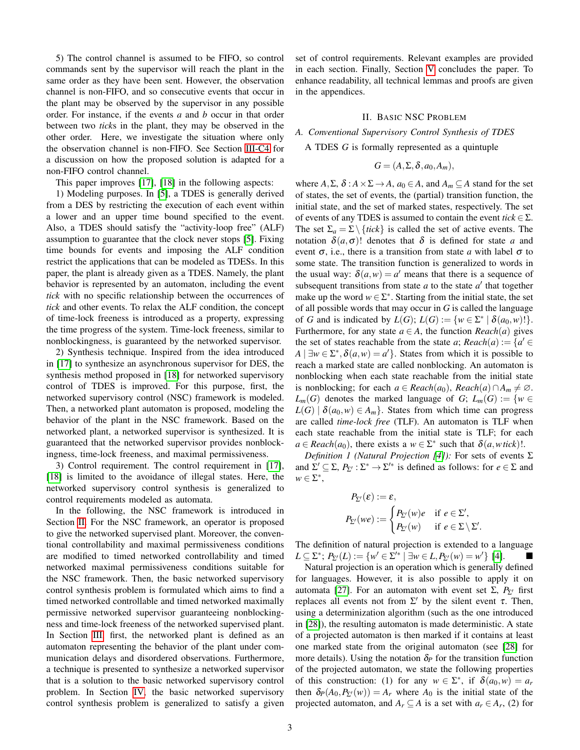5) The control channel is assumed to be FIFO, so control commands sent by the supervisor will reach the plant in the same order as they have been sent. However, the observation channel is non-FIFO, and so consecutive events that occur in the plant may be observed by the supervisor in any possible order. For instance, if the events *a* and *b* occur in that order between two *tick*s in the plant, they may be observed in the other order. Here, we investigate the situation where only the observation channel is non-FIFO. See Section [III-C4](#page-8-0) for a discussion on how the proposed solution is adapted for a non-FIFO control channel.

This paper improves [\[17\]](#page-15-10), [\[18\]](#page-15-12) in the following aspects:

1) Modeling purposes. In [\[5\]](#page-15-3), a TDES is generally derived from a DES by restricting the execution of each event within a lower and an upper time bound specified to the event. Also, a TDES should satisfy the "activity-loop free" (ALF) assumption to guarantee that the clock never stops [\[5\]](#page-15-3). Fixing time bounds for events and imposing the ALF condition restrict the applications that can be modeled as TDESs. In this paper, the plant is already given as a TDES. Namely, the plant behavior is represented by an automaton, including the event *tick* with no specific relationship between the occurrences of *tick* and other events. To relax the ALF condition, the concept of time-lock freeness is introduced as a property, expressing the time progress of the system. Time-lock freeness, similar to nonblockingness, is guaranteed by the networked supervisor.

2) Synthesis technique. Inspired from the idea introduced in [\[17\]](#page-15-10) to synthesize an asynchronous supervisor for DES, the synthesis method proposed in [\[18\]](#page-15-12) for networked supervisory control of TDES is improved. For this purpose, first, the networked supervisory control (NSC) framework is modeled. Then, a networked plant automaton is proposed, modeling the behavior of the plant in the NSC framework. Based on the networked plant, a networked supervisor is synthesized. It is guaranteed that the networked supervisor provides nonblockingness, time-lock freeness, and maximal permissiveness.

3) Control requirement. The control requirement in [\[17\]](#page-15-10), [\[18\]](#page-15-12) is limited to the avoidance of illegal states. Here, the networked supervisory control synthesis is generalized to control requirements modeled as automata.

In the following, the NSC framework is introduced in Section [II.](#page-2-0) For the NSC framework, an operator is proposed to give the networked supervised plant. Moreover, the conventional controllability and maximal permissiveness conditions are modified to timed networked controllability and timed networked maximal permissiveness conditions suitable for the NSC framework. Then, the basic networked supervisory control synthesis problem is formulated which aims to find a timed networked controllable and timed networked maximally permissive networked supervisor guaranteeing nonblockingness and time-lock freeness of the networked supervised plant. In Section [III,](#page-6-0) first, the networked plant is defined as an automaton representing the behavior of the plant under communication delays and disordered observations. Furthermore, a technique is presented to synthesize a networked supervisor that is a solution to the basic networked supervisory control problem. In Section [IV,](#page-9-0) the basic networked supervisory control synthesis problem is generalized to satisfy a given set of control requirements. Relevant examples are provided in each section. Finally, Section [V](#page-9-1) concludes the paper. To enhance readability, all technical lemmas and proofs are given in the appendices.

#### II. BASIC NSC PROBLEM

## <span id="page-2-0"></span>*A. Conventional Supervisory Control Synthesis of TDES*

A TDES *G* is formally represented as a quintuple

$$
G=(A,\Sigma,\delta,a_0,A_m),
$$

where  $A, \Sigma, \delta : A \times \Sigma \rightarrow A$ ,  $a_0 \in A$ , and  $A_m \subseteq A$  stand for the set of states, the set of events, the (partial) transition function, the initial state, and the set of marked states, respectively. The set of events of any TDES is assumed to contain the event  $tick \in \Sigma$ . The set  $\Sigma_a = \Sigma \setminus \{tick\}$  is called the set of active events. The notation  $\delta(a,\sigma)$ ! denotes that  $\delta$  is defined for state *a* and event  $\sigma$ , i.e., there is a transition from state *a* with label  $\sigma$  to some state. The transition function is generalized to words in the usual way:  $\delta(a, w) = a'$  means that there is a sequence of subsequent transitions from state  $a$  to the state  $a'$  that together make up the word  $w \in \Sigma^*$ . Starting from the initial state, the set of all possible words that may occur in *G* is called the language of *G* and is indicated by  $L(G)$ ;  $L(G) := \{ w \in \Sigma^* \mid \delta(a_0, w)! \}.$ Furthermore, for any state  $a \in A$ , the function *Reach*(*a*) gives the set of states reachable from the state *a*;  $Reach(a) := \{a' \in$  $A \mid \exists w \in \Sigma^*, \delta(a, w) = a'$ . States from which it is possible to reach a marked state are called nonblocking. An automaton is nonblocking when each state reachable from the initial state is nonblocking; for each  $a \in \text{Reach}(a_0)$ ,  $\text{Reach}(a) \cap A_m \neq \emptyset$ . *L*<sup>*m*</sup>(*G*) denotes the marked language of *G*; *L*<sup>*m*</sup>(*G*) := {*w* ∈  $L(G) | \delta(a_0, w) \in A_m$ . States from which time can progress are called *time-lock free* (TLF). An automaton is TLF when each state reachable from the initial state is TLF; for each  $a \in \text{Reach}(a_0)$ , there exists a  $w \in \Sigma^*$  such that  $\delta(a, w \text{ tick})$ !.

<span id="page-2-1"></span>*Definition 1 (Natural Projection [\[4\]](#page-15-2)):* For sets of events Σ and  $\Sigma' \subseteq \Sigma$ ,  $P_{\Sigma'} : \Sigma^* \to \Sigma'^*$  is defined as follows: for  $e \in \Sigma$  and  $w \in \Sigma^*,$ 

$$
P_{\Sigma'}(\varepsilon) := \varepsilon,
$$
  
\n
$$
P_{\Sigma'}(we) := \begin{cases} P_{\Sigma'}(w)e & \text{if } e \in \Sigma', \\ P_{\Sigma'}(w) & \text{if } e \in \Sigma \setminus \Sigma'. \end{cases}
$$

The definition of natural projection is extended to a language  $L \subseteq \Sigma^*$ ;  $P_{\Sigma'}(L) := \{w' \in \Sigma'^* \mid \exists w \in L, P_{\Sigma'}(w) = w'\}\$  [\[4\]](#page-15-2).

Natural projection is an operation which is generally defined for languages. However, it is also possible to apply it on automata [\[27\]](#page-15-25). For an automaton with event set Σ,  $P_{Σ}$  first replaces all events not from  $\Sigma'$  by the silent event  $\tau$ . Then, using a determinization algorithm (such as the one introduced in [\[28\]](#page-15-26)), the resulting automaton is made deterministic. A state of a projected automaton is then marked if it contains at least one marked state from the original automaton (see [\[28\]](#page-15-26) for more details). Using the notation  $\delta_P$  for the transition function of the projected automaton, we state the following properties of this construction: (1) for any  $w \in \Sigma^*$ , if  $\delta(a_0, w) = a_r$ then  $\delta_P(A_0, P_{\Sigma'}(w)) = A_r$  where  $A_0$  is the initial state of the projected automaton, and  $A_r \subseteq A$  is a set with  $a_r \in A_r$ , (2) for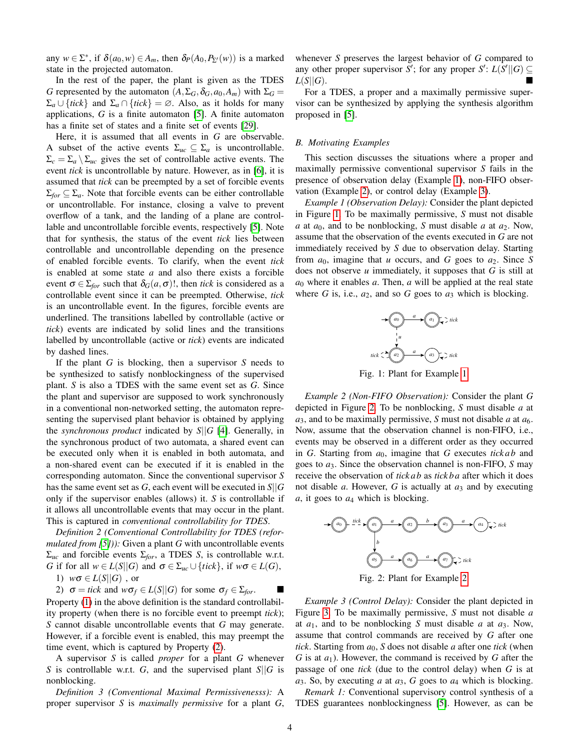any  $w \in \Sigma^*$ , if  $\delta(a_0, w) \in A_m$ , then  $\delta_P(A_0, P_{\Sigma'}(w))$  is a marked state in the projected automaton.

In the rest of the paper, the plant is given as the TDES *G* represented by the automaton  $(A, \Sigma_G, \delta_G, a_0, A_m)$  with  $\Sigma_G$  $\Sigma_a \cup \{tick\}$  and  $\Sigma_a \cap \{tick\} = \emptyset$ . Also, as it holds for many applications, *G* is a finite automaton [\[5\]](#page-15-3). A finite automaton has a finite set of states and a finite set of events [\[29\]](#page-15-27).

Here, it is assumed that all events in *G* are observable. A subset of the active events  $\Sigma_{uc} \subseteq \Sigma_a$  is uncontrollable.  $\Sigma_c = \Sigma_a \setminus \Sigma_{uc}$  gives the set of controllable active events. The event *tick* is uncontrollable by nature. However, as in [\[6\]](#page-15-4), it is assumed that *tick* can be preempted by a set of forcible events  $\Sigma_{for} \subseteq \Sigma_a$ . Note that forcible events can be either controllable or uncontrollable. For instance, closing a valve to prevent overflow of a tank, and the landing of a plane are controllable and uncontrollable forcible events, respectively [\[5\]](#page-15-3). Note that for synthesis, the status of the event *tick* lies between controllable and uncontrollable depending on the presence of enabled forcible events. To clarify, when the event *tick* is enabled at some state *a* and also there exists a forcible event  $\sigma \in \Sigma_{for}$  such that  $\delta_G(a, \sigma)!$ , then *tick* is considered as a controllable event since it can be preempted. Otherwise, *tick* is an uncontrollable event. In the figures, forcible events are underlined. The transitions labelled by controllable (active or *tick*) events are indicated by solid lines and the transitions labelled by uncontrollable (active or *tick*) events are indicated by dashed lines.

If the plant *G* is blocking, then a supervisor *S* needs to be synthesized to satisfy nonblockingness of the supervised plant. *S* is also a TDES with the same event set as *G*. Since the plant and supervisor are supposed to work synchronously in a conventional non-networked setting, the automaton representing the supervised plant behavior is obtained by applying the *synchronous product* indicated by *S*||*G* [\[4\]](#page-15-2). Generally, in the synchronous product of two automata, a shared event can be executed only when it is enabled in both automata, and a non-shared event can be executed if it is enabled in the corresponding automaton. Since the conventional supervisor *S* has the same event set as *G*, each event will be executed in *S*||*G* only if the supervisor enables (allows) it. *S* is controllable if it allows all uncontrollable events that may occur in the plant. This is captured in *conventional controllability for TDES*.

<span id="page-3-5"></span>*Definition 2 (Conventional Controllability for TDES (reformulated from [\[5\]](#page-15-3))):* Given a plant *G* with uncontrollable events Σ*uc* and forcible events Σ*for*, a TDES *S*, is controllable w.r.t. *G* if for all  $w \in L(S||G)$  and  $\sigma \in \Sigma_{uc} \cup \{tick\}$ , if  $w\sigma \in L(G)$ ,

1) 
$$
w\sigma \in L(S||G)
$$
, or

2)  $\sigma = tick$  and  $w\sigma_f \in L(S||G)$  for some  $\sigma_f \in \Sigma_{for}$ . Property [\(1\)](#page-5-0) in the above definition is the standard controllability property (when there is no forcible event to preempt *tick*); *S* cannot disable uncontrollable events that *G* may generate. However, if a forcible event is enabled, this may preempt the time event, which is captured by Property [\(2\)](#page-5-1).

A supervisor *S* is called *proper* for a plant *G* whenever *S* is controllable w.r.t. *G*, and the supervised plant *S*||*G* is nonblocking.

<span id="page-3-6"></span>*Definition 3 (Conventional Maximal Permissivenesss):* A proper supervisor *S* is *maximally permissive* for a plant *G*, whenever *S* preserves the largest behavior of *G* compared to any other proper supervisor *S*<sup> $\prime$ </sup>; for any proper *S*<sup> $\prime$ </sup>: *L*(*S*<sup> $\prime$ </sup>||*G*)  $\subseteq$  $L(S||G).$ 

For a TDES, a proper and a maximally permissive supervisor can be synthesized by applying the synthesis algorithm proposed in [\[5\]](#page-15-3).

#### *B. Motivating Examples*

This section discusses the situations where a proper and maximally permissive conventional supervisor *S* fails in the presence of observation delay (Example [1\)](#page-3-0), non-FIFO observation (Example [2\)](#page-3-1), or control delay (Example [3\)](#page-3-2).

<span id="page-3-0"></span>*Example 1 (Observation Delay):* Consider the plant depicted in Figure [1.](#page-3-3) To be maximally permissive, *S* must not disable *a* at  $a_0$ , and to be nonblocking, *S* must disable *a* at  $a_2$ . Now, assume that the observation of the events executed in *G* are not immediately received by *S* due to observation delay. Starting from *a*0, imagine that *u* occurs, and *G* goes to *a*2. Since *S* does not observe *u* immediately, it supposes that *G* is still at  $a_0$  where it enables  $a$ . Then,  $a$  will be applied at the real state where  $G$  is, i.e.,  $a_2$ , and so  $G$  goes to  $a_3$  which is blocking.

<span id="page-3-3"></span>

Fig. 1: Plant for Example [1.](#page-3-0)

<span id="page-3-1"></span>*Example 2 (Non-FIFO Observation):* Consider the plant *G* depicted in Figure [2.](#page-3-4) To be nonblocking, *S* must disable *a* at  $a_3$ , and to be maximally permissive, *S* must not disable *a* at  $a_6$ . Now, assume that the observation channel is non-FIFO, i.e., events may be observed in a different order as they occurred in *G*. Starting from  $a_0$ , imagine that *G* executes *tick ab* and goes to *a*3. Since the observation channel is non-FIFO, *S* may receive the observation of *tick ab* as *tick b a* after which it does not disable *a*. However, *G* is actually at  $a_3$  and by executing *a*, it goes to *a*<sup>4</sup> which is blocking.

<span id="page-3-4"></span>

Fig. 2: Plant for Example [2.](#page-3-1)

<span id="page-3-2"></span>*Example 3 (Control Delay):* Consider the plant depicted in Figure [3.](#page-4-0) To be maximally permissive, *S* must not disable *a* at *a*1, and to be nonblocking *S* must disable *a* at *a*3. Now, assume that control commands are received by *G* after one *tick*. Starting from  $a_0$ , S does not disable *a* after one *tick* (when *G* is at *a*1). However, the command is received by *G* after the passage of one *tick* (due to the control delay) when *G* is at *a*3. So, by executing *a* at *a*3, *G* goes to *a*<sup>4</sup> which is blocking.

*Remark 1:* Conventional supervisory control synthesis of a TDES guarantees nonblockingness [\[5\]](#page-15-3). However, as can be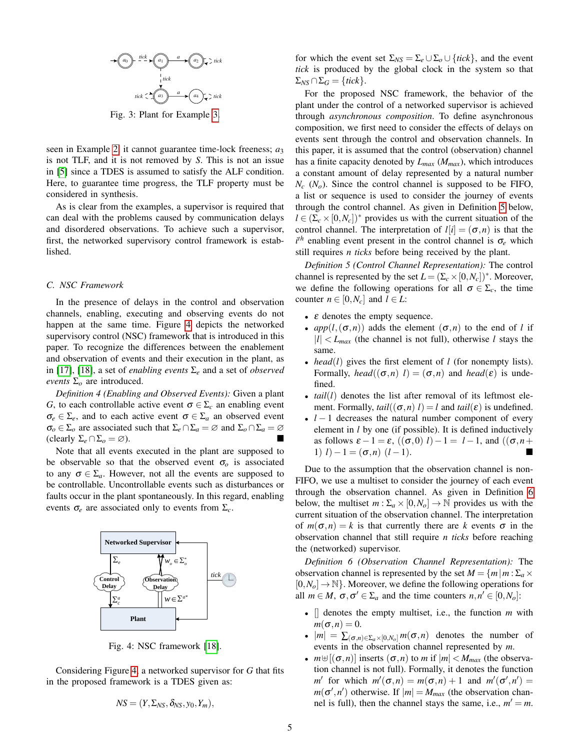<span id="page-4-0"></span>

Fig. 3: Plant for Example [3.](#page-3-2)

seen in Example [2,](#page-3-1) it cannot guarantee time-lock freeness; *a*<sup>3</sup> is not TLF, and it is not removed by *S*. This is not an issue in [\[5\]](#page-15-3) since a TDES is assumed to satisfy the ALF condition. Here, to guarantee time progress, the TLF property must be considered in synthesis.

As is clear from the examples, a supervisor is required that can deal with the problems caused by communication delays and disordered observations. To achieve such a supervisor, first, the networked supervisory control framework is established.

## *C. NSC Framework*

In the presence of delays in the control and observation channels, enabling, executing and observing events do not happen at the same time. Figure [4](#page-4-1) depicts the networked supervisory control (NSC) framework that is introduced in this paper. To recognize the differences between the enablement and observation of events and their execution in the plant, as in [\[17\]](#page-15-10), [\[18\]](#page-15-12), a set of *enabling events* Σ*<sup>e</sup>* and a set of *observed events*  $\Sigma$ <sub>*o*</sub> are introduced.

<span id="page-4-4"></span>*Definition 4 (Enabling and Observed Events):* Given a plant *G*, to each controllable active event  $\sigma \in \Sigma_c$  an enabling event  $\sigma_e \in \Sigma_e$ , and to each active event  $\sigma \in \Sigma_a$  an observed event  $\sigma$ <sup>*o*</sup> ∈ Σ<sub>*o*</sub> are associated such that  $\Sigma$ <sub>*e*</sub> ∩  $\Sigma$ <sub>*a*</sub> = ∅ and  $\Sigma$ <sub>*o*</sub> ∩  $\Sigma$ <sub>*a*</sub> = ∅  $\text{(clearly } \Sigma_e \cap \Sigma_o = \varnothing).$ 

Note that all events executed in the plant are supposed to be observable so that the observed event  $\sigma$ <sub>o</sub> is associated to any  $\sigma \in \Sigma_a$ . However, not all the events are supposed to be controllable. Uncontrollable events such as disturbances or faults occur in the plant spontaneously. In this regard, enabling events  $\sigma_e$  are associated only to events from  $\Sigma_c$ .

<span id="page-4-1"></span>

Fig. 4: NSC framework [\[18\]](#page-15-12).

Considering Figure [4,](#page-4-1) a networked supervisor for *G* that fits in the proposed framework is a TDES given as:

$$
NS=(Y,\Sigma_{NS},\delta_{NS},y_0,Y_m),
$$

for which the event set  $\Sigma_{NS} = \Sigma_e \cup \Sigma_o \cup \{tick\}$ , and the event *tick* is produced by the global clock in the system so that  $\Sigma_{NS} \cap \Sigma_G = \{tick\}.$ 

For the proposed NSC framework, the behavior of the plant under the control of a networked supervisor is achieved through *asynchronous composition*. To define asynchronous composition, we first need to consider the effects of delays on events sent through the control and observation channels. In this paper, it is assumed that the control (observation) channel has a finite capacity denoted by *Lmax* (*Mmax*), which introduces a constant amount of delay represented by a natural number  $N_c$  ( $N_o$ ). Since the control channel is supposed to be FIFO, a list or sequence is used to consider the journey of events through the control channel. As given in Definition [5](#page-4-2) below,  $l \in (\Sigma_c \times [0, N_c])^*$  provides us with the current situation of the control channel. The interpretation of  $l[i] = (\sigma, n)$  is that the  $i<sup>th</sup>$  enabling event present in the control channel is  $\sigma_e$  which still requires *n ticks* before being received by the plant.

<span id="page-4-2"></span>*Definition 5 (Control Channel Representation):* The control channel is represented by the set  $L = (\Sigma_c \times [0, N_c])^*$ . Moreover, we define the following operations for all  $\sigma \in \Sigma_c$ , the time counter  $n \in [0, N_c]$  and  $l \in L$ :

- $\bullet$   $\varepsilon$  denotes the empty sequence.
- $app(l,(\sigma,n))$  adds the element  $(\sigma,n)$  to the end of *l* if  $|l| < L_{max}$  (the channel is not full), otherwise *l* stays the same.
- *head*(*l*) gives the first element of *l* (for nonempty lists). Formally, *head*(( $\sigma$ ,*n*) *l*) = ( $\sigma$ ,*n*) and *head*( $\varepsilon$ ) is undefined.
- *tail*(*l*) denotes the list after removal of its leftmost element. Formally,  $tail((\sigma, n) l) = l$  and  $tail(\varepsilon)$  is undefined.
- $l-1$  decreases the natural number component of every element in *l* by one (if possible). It is defined inductively as follows  $\varepsilon - 1 = \varepsilon$ ,  $((\sigma, 0) l) - 1 = l - 1$ , and  $((\sigma, n +$ 1)  $l$ ) − 1 =  $(σ, n)$   $(l − 1)$ .

Due to the assumption that the observation channel is non-FIFO, we use a multiset to consider the journey of each event through the observation channel. As given in Definition [6](#page-4-3) below, the multiset  $m : \Sigma_a \times [0, N_o] \to \mathbb{N}$  provides us with the current situation of the observation channel. The interpretation of  $m(\sigma, n) = k$  is that currently there are k events  $\sigma$  in the observation channel that still require *n ticks* before reaching the (networked) supervisor.

*tick*observation channel is represented by the set  $M = \{m | m : \Sigma_a \times$ *Definition 6 (Observation Channel Representation):* The  $[0, N<sub>o</sub>] \rightarrow \mathbb{N}$ . Moreover, we define the following operations for all  $m \in M$ ,  $\sigma$ ,  $\sigma' \in \Sigma_a$  and the time counters  $n, n' \in [0, N_o]$ :

- <span id="page-4-3"></span>• [] denotes the empty multiset, i.e., the function *m* with  $m(\sigma,n)=0.$
- $|m| = \sum_{(\sigma,n) \in \Sigma_a \times [0,N_o]} m(\sigma,n)$  denotes the number of events in the observation channel represented by *m*.
- $m \oplus [(\sigma, n)]$  inserts  $(\sigma, n)$  to *m* if  $|m| < M_{max}$  (the observation channel is not full). Formally, it denotes the function *m'* for which  $m'(\sigma, n) = m(\sigma, n) + 1$  and  $m'(\sigma', n') =$  $m(\sigma', n')$  otherwise. If  $|m| = M_{max}$  (the observation channel is full), then the channel stays the same, i.e.,  $m' = m$ .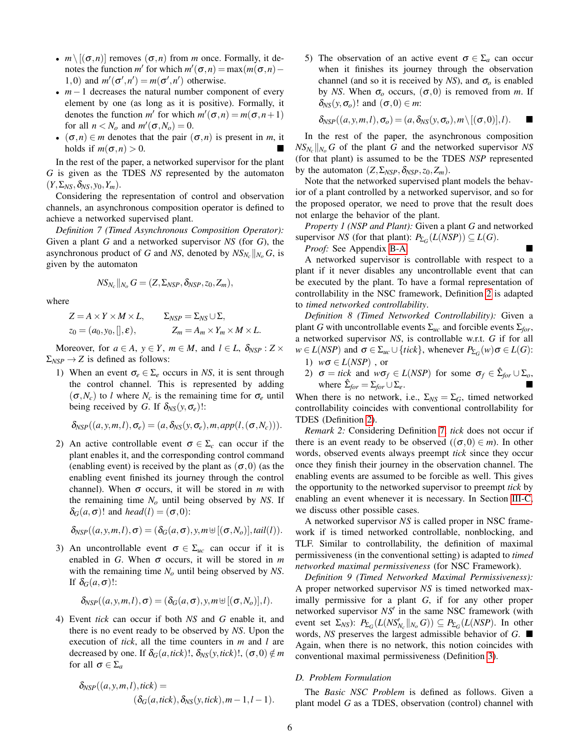- $m \setminus [(\sigma, n)]$  removes  $(\sigma, n)$  from *m* once. Formally, it denotes the function *m'* for which  $m'(\sigma, n) = \max(m(\sigma, n) -$ 1,0) and  $m'(\sigma', n') = m(\sigma', n')$  otherwise.
- *m*−1 decreases the natural number component of every element by one (as long as it is positive). Formally, it denotes the function *m'* for which  $m'(\sigma, n) = m(\sigma, n+1)$ for all  $n < N_o$  and  $m'(\sigma, N_o) = 0$ .
- $(\sigma, n) \in m$  denotes that the pair  $(\sigma, n)$  is present in *m*, it holds if  $m(\sigma,n) > 0$ .

In the rest of the paper, a networked supervisor for the plant *G* is given as the TDES *NS* represented by the automaton  $(Y, \Sigma_{NS}, \delta_{NS}, y_0, Y_m)$ .

Considering the representation of control and observation channels, an asynchronous composition operator is defined to achieve a networked supervised plant.

<span id="page-5-2"></span>*Definition 7 (Timed Asynchronous Composition Operator):* Given a plant *G* and a networked supervisor *NS* (for *G*), the asynchronous product of *G* and *NS*, denoted by  $NS_{N_c}||_{N_o}$  *G*, is given by the automaton

$$
NS_{N_c}||_{N_o} G = (Z, \Sigma_{NSP}, \delta_{NSP}, z_0, Z_m),
$$

where

$$
Z = A \times Y \times M \times L, \qquad \Sigma_{NSP} = \Sigma_{NS} \cup \Sigma, z_0 = (a_0, y_0,[], \varepsilon), \qquad \qquad Z_m = A_m \times Y_m \times M \times L.
$$

Moreover, for  $a \in A$ ,  $y \in Y$ ,  $m \in M$ , and  $l \in L$ ,  $\delta_{NSP} : Z \times$  $\Sigma_{NSP} \rightarrow Z$  is defined as follows:

1) When an event  $\sigma_e \in \Sigma_e$  occurs in *NS*, it is sent through the control channel. This is represented by adding  $(\sigma, N_c)$  to *l* where  $N_c$  is the remaining time for  $\sigma_e$  until being received by *G*. If  $\delta_{NS}(y, \sigma_e)$ !:

$$
\delta_{NSP}((a, y, m, l), \sigma_e) = (a, \delta_{NS}(y, \sigma_e), m, app(l, (\sigma, N_c))).
$$

2) An active controllable event  $\sigma \in \Sigma_c$  can occur if the plant enables it, and the corresponding control command (enabling event) is received by the plant as  $(\sigma,0)$  (as the enabling event finished its journey through the control channel). When  $\sigma$  occurs, it will be stored in *m* with the remaining time *N<sup>o</sup>* until being observed by *NS*. If  $\delta_G(a,\sigma)!$  and *head*(*l*) = ( $\sigma$ ,0):

$$
\delta_{NSP}((a,y,m,l),\sigma)=(\delta_G(a,\sigma),y,m\uplus[(\sigma,N_o)],tail(l)).
$$

3) An uncontrollable event  $\sigma \in \Sigma_{uc}$  can occur if it is enabled in *G*. When  $\sigma$  occurs, it will be stored in *m* with the remaining time *N<sup>o</sup>* until being observed by *NS*. If  $\delta_G(a,\sigma)!$ :

$$
\delta_{NSP}((a,y,m,l),\sigma)=(\delta_G(a,\sigma),y,m\uplus[(\sigma,N_o)],l).
$$

4) Event *tick* can occur if both *NS* and *G* enable it, and there is no event ready to be observed by *NS*. Upon the execution of *tick*, all the time counters in *m* and *l* are decreased by one. If  $\delta_G(a, tick)$ !,  $\delta_{NS}(y, tick)$ !,  $(\sigma, 0) \notin m$ for all  $\sigma \in \Sigma_a$ 

$$
\delta_{NSP}((a,y,m,l),tick) =
$$
  

$$
(\delta_G(a,tick), \delta_{NS}(y,tick),m-1,l-1).
$$

5) The observation of an active event  $\sigma \in \Sigma_a$  can occur when it finishes its journey through the observation channel (and so it is received by *NS*), and  $\sigma$ <sub>o</sub> is enabled by *NS*. When  $\sigma$ <sub>o</sub> occurs,  $(\sigma, 0)$  is removed from *m*. If  $δ_{NS}(y, σ<sub>o</sub>)!$  and  $(σ, 0) ∈ m$ :

$$
\delta_{NSP}((a, y, m, l), \sigma_o) = (a, \delta_{NS}(y, \sigma_o), m \setminus [(\sigma, 0)], l).
$$

In the rest of the paper, the asynchronous composition  $NS_{N_c}$  || $_{N_o}$  *G* of the plant *G* and the networked supervisor *NS* (for that plant) is assumed to be the TDES *NSP* represented by the automaton  $(Z, \Sigma_{NSP}, \delta_{NSP}, z_0, Z_m)$ .

Note that the networked supervised plant models the behavior of a plant controlled by a networked supervisor, and so for the proposed operator, we need to prove that the result does not enlarge the behavior of the plant.

<span id="page-5-3"></span>*Property 1 (NSP and Plant):* Given a plant *G* and networked supervisor *NS* (for that plant):  $P_{\Sigma_G}(L(NSP)) \subseteq L(G)$ .

*Proof:* See Appendix [B-A.](#page-12-0)

A networked supervisor is controllable with respect to a plant if it never disables any uncontrollable event that can be executed by the plant. To have a formal representation of controllability in the NSC framework, Definition [2](#page-3-5) is adapted to *timed networked controllability*.

*Definition 8 (Timed Networked Controllability):* Given a plant *G* with uncontrollable events  $\Sigma_{uc}$  and forcible events  $\Sigma_{for}$ , a networked supervisor *NS*, is controllable w.r.t. *G* if for all  $w \in L(NSP)$  and  $\sigma \in \Sigma_{uc} \cup \{tick\}$ , whenever  $P_{\Sigma_G}(w) \sigma \in L(G)$ :

- <span id="page-5-0"></span>1) *w*σ ∈ *L*(*NSP*) , or
- <span id="page-5-1"></span>2)  $\sigma = tick$  and  $w\sigma_f \in L(NSP)$  for some  $\sigma_f \in \hat{\Sigma}_{for} \cup \Sigma_o$ , where  $\hat{\Sigma}_{for} = \Sigma_{for} \cup \Sigma_e$ .

When there is no network, i.e.,  $\Sigma_{NS} = \Sigma_G$ , timed networked controllability coincides with conventional controllability for TDES (Definition [2\)](#page-3-5).

*Remark 2:* Considering Definition [7,](#page-5-2) *tick* does not occur if there is an event ready to be observed  $((\sigma, 0) \in m)$ . In other words, observed events always preempt *tick* since they occur once they finish their journey in the observation channel. The enabling events are assumed to be forcible as well. This gives the opportunity to the networked supervisor to preempt *tick* by enabling an event whenever it is necessary. In Section [III-C,](#page-8-1) we discuss other possible cases.

A networked supervisor *NS* is called proper in NSC framework if is timed networked controllable, nonblocking, and TLF. Similar to controllability, the definition of maximal permissiveness (in the conventional setting) is adapted to *timed networked maximal permissiveness* (for NSC Framework).

*Definition 9 (Timed Networked Maximal Permissiveness):* A proper networked supervisor *NS* is timed networked maximally permissive for a plant *G*, if for any other proper networked supervisor  $NS'$  in the same NSC framework (with  $P_{\Sigma G}(L(NS'_{N_c}||_{N_o}G)) \subseteq P_{\Sigma G}(L(NS'_{N_c}||_{N_o}G))$ . In other words, *NS* preserves the largest admissible behavior of *G*. Again, when there is no network, this notion coincides with conventional maximal permissiveness (Definition [3\)](#page-3-6).

# *D. Problem Formulation*

The *Basic NSC Problem* is defined as follows. Given a plant model *G* as a TDES, observation (control) channel with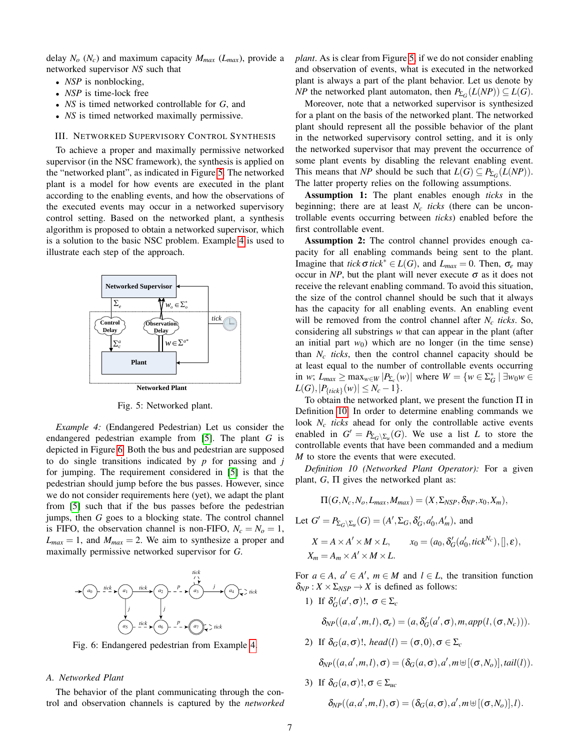delay  $N_o$  ( $N_c$ ) and maximum capacity  $M_{max}$  ( $L_{max}$ ), provide a networked supervisor *NS* such that

- *NSP* is nonblocking,
- *NSP* is time-lock free
- *NS* is timed networked controllable for *G*, and
- *NS* is timed networked maximally permissive.

#### <span id="page-6-0"></span>III. NETWORKED SUPERVISORY CONTROL SYNTHESIS **Networked PERVISC**

To achieve a proper and maximally permissive networked supervisor (in the NSC framework), the synthesis is applied on the "networked plant", as indicated in Figure [5.](#page-6-1) The networked plant is a model for how events are executed in the plant according to the enabling events, and how the observations of *<sup>a</sup>*\* the executed events may occur in a networked supervisory control setting. Based on the networked plant, a synthesis algorithm is proposed to obtain a networked supervisor, which is a solution to the basic NSC problem. Example [4](#page-6-2) is used to illustrate each step of the approach. and maximally permissive networked<br>
ramework), the synthesis is applied or<br>
s indicated in Figure 5. The networked<br>
ow events are executed in the plan<br>
s works and house the observations of <sup>"</sup>, as in

<span id="page-6-1"></span>

Fig. 5: Networked plant.

<span id="page-6-2"></span>*Example 4:* (Endangered Pedestrian) Let us consider the endangered pedestrian example from [\[5\]](#page-15-3). The plant *G* is depicted in Figure [6.](#page-6-3) Both the bus and pedestrian are supposed to do single transitions indicated by *p* for passing and *j* for jumping. The requirement considered in [\[5\]](#page-15-3) is that the pedestrian should jump before the bus passes. However, since we do not consider requirements here (yet), we adapt the plant from [\[5\]](#page-15-3) such that if the bus passes before the pedestrian jumps, then *G* goes to a blocking state. The control channel is FIFO, the observation channel is non-FIFO,  $N_c = N_o = 1$ ,  $L_{max} = 1$ , and  $M_{max} = 2$ . We aim to synthesize a proper and maximally permissive networked supervisor for *G*.

<span id="page-6-3"></span>

Fig. 6: Endangered pedestrian from Example [4.](#page-6-2)

## *A. Networked Plant*

The behavior of the plant communicating through the control and observation channels is captured by the *networked* *plant*. As is clear from Figure [5,](#page-6-1) if we do not consider enabling and observation of events, what is executed in the networked plant is always a part of the plant behavior. Let us denote by *NP* the networked plant automaton, then  $P_{\Sigma_G}(L(NP)) \subseteq L(G)$ .

Moreover, note that a networked supervisor is synthesized for a plant on the basis of the networked plant. The networked plant should represent all the possible behavior of the plant in the networked supervisory control setting, and it is only the networked supervisor that may prevent the occurrence of some plant events by disabling the relevant enabling event. This means that *NP* should be such that  $L(G) \subseteq P_{\Sigma_G}(L(NP)).$ The latter property relies on the following assumptions.

Assumption 1: The plant enables enough *ticks* in the beginning; there are at least  $N_c$  *ticks* (there can be uncontrollable events occurring between *ticks*) enabled before the first controllable event.

 $\text{trick}_{\Box}$  will be removed from the control channel after *N<sub>c</sub> ticks*. So, Assumption 2: The control channel provides enough capacity for all enabling commands being sent to the plant. Imagine that *tick*σ *tick*<sup>\*</sup> ∈ *L*(*G*), and *L*<sub>*max*</sub> = 0. Then, σ<sub>*e*</sub> may occur in  $NP$ , but the plant will never execute  $\sigma$  as it does not receive the relevant enabling command. To avoid this situation, the size of the control channel should be such that it always has the capacity for all enabling events. An enabling event considering all substrings *w* that can appear in the plant (after an initial part  $w_0$ ) which are no longer (in the time sense) than  $N_c$  *ticks*, then the control channel capacity should be at least equal to the number of controllable events occurring in *w*;  $L_{max} \ge \max_{w \in W} |P_{\Sigma_c}(w)|$  where  $W = \{w \in \Sigma_G^* \mid \exists w_0 w \in \Sigma_G^* \mid \exists w_0 w \in \Sigma_G^* \}$  $L(G), |P_{\{tick\}}(w)| \leq N_c - 1$ .

> To obtain the networked plant, we present the function  $\Pi$  in Definition [10.](#page-6-4) In order to determine enabling commands we look *N<sup>c</sup> ticks* ahead for only the controllable active events enabled in  $G' = P_{\Sigma_G \setminus \Sigma_u}(G)$ . We use a list *L* to store the controllable events that have been commanded and a medium *M* to store the events that were executed.

> <span id="page-6-4"></span>*Definition 10 (Networked Plant Operator):* For a given plant,  $G$ ,  $\Pi$  gives the networked plant as:

$$
\Pi(G, N_c, N_o, L_{max}, M_{max}) = (X, \Sigma_{NSP}, \delta_{NP}, x_0, X_m),
$$

Let 
$$
G' = P_{\Sigma_G \setminus \Sigma_u}(G) = (A', \Sigma_G, \delta'_G, a'_0, A'_m)
$$
, and

$$
X = A \times A' \times M \times L, \qquad x_0 = (a_0, \delta'_G(a'_0, tick^{N_c}),[],\varepsilon),
$$
  

$$
X_m = A_m \times A' \times M \times L.
$$

For  $a \in A$ ,  $a' \in A'$ ,  $m \in M$  and  $l \in L$ , the transition function  $\delta_{NP}$ :  $X \times \Sigma_{NSP} \rightarrow X$  is defined as follows:

1) If  $\delta'_G(a', \sigma)!$ ,  $\sigma \in \Sigma_c$ 

 $\delta_{NP}((a, a', m, l), \sigma_e) = (a, \delta_G'(a', \sigma), m, app(l, (\sigma, N_c))).$ 

2) If  $\delta_G(a, \sigma)!$ , *head*(*l*) =  $(\sigma, 0), \sigma \in \Sigma_c$ 

 $\delta_{NP}((a, a', m, l), \sigma) = (\delta_G(a, \sigma), a', m \uplus [(\sigma, N_o)], tail(l)).$ 

3) If  $\delta_G(a, \sigma)!$ ,  $\sigma \in \Sigma_{uc}$  $\delta_{NP}((a, a', m, l), \sigma) = (\delta_G(a, \sigma), a', m \uplus [(\sigma, N_o)], l).$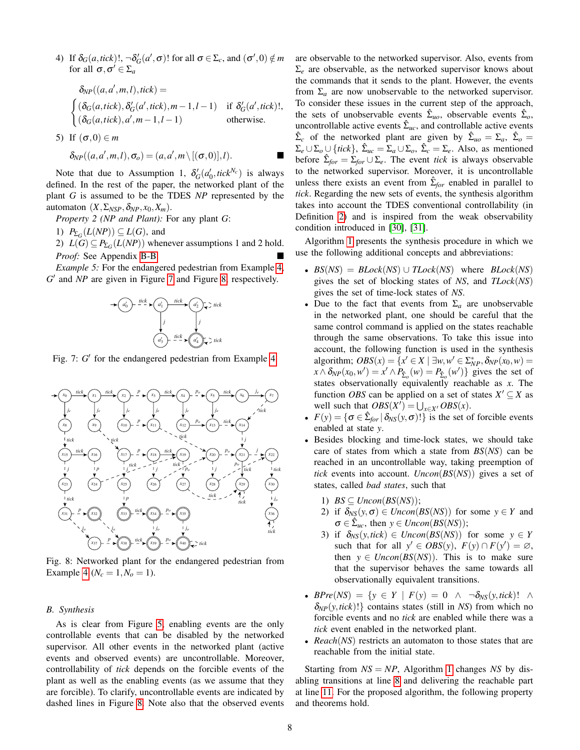4) If  $\delta_G(a, tick)$ !,  $\neg \delta_G'(a', \sigma)$ ! for all  $\sigma \in \Sigma_c$ , and  $(\sigma', 0) \notin m$ for all  $\sigma, \sigma' \in \Sigma_a$ 

$$
\delta_{NP}((a,a',m,l),tick) =
$$
\n
$$
\begin{cases}\n(\delta_G(a,tick), \delta_G'(a',tick), m-1, l-1) & \text{if } \delta_G'(a',tick)!, \\
(\delta_G(a,tick), a', m-1, l-1) & \text{otherwise}.\n\end{cases}
$$

5) If 
$$
(\sigma, 0) \in m
$$

$$
\delta_{NP}((a,a',m,l),\sigma_o)=(a,a',m\setminus[(\sigma,0)],l).
$$

Note that due to Assumption 1,  $\delta'_{G}(a'_{0}, tick^{N_{c}})$  is always defined. In the rest of the paper, the networked plant of the plant *G* is assumed to be the TDES *NP* represented by the automaton  $(X, \Sigma_{NSP}, \delta_{NP}, x_0, X_m)$ .

<span id="page-7-4"></span>*Property 2 (NP and Plant):* For any plant *G*:

1)  $P_{\Sigma_G}(L(NP)) \subseteq L(G)$ , and

2)  $L(G) \subseteq P_{\Sigma_G}(L(NP))$  whenever assumptions 1 and 2 hold. *Proof:* See Appendix [B-B.](#page-13-0)

<span id="page-7-2"></span><span id="page-7-0"></span>*Example 5:* For the endangered pedestrian from Example [4,](#page-6-2) G' and NP are given in Figure [7](#page-7-0) and Figure [8,](#page-7-1) respectively.



Fig. 7:  $G'$  for the endangered pedestrian from Example [4.](#page-6-2)

<span id="page-7-1"></span>

Fig. 8: Networked plant for the endangered pedestrian from Example [4](#page-6-2) ( $N_c = 1, N_o = 1$ ).

# *B. Synthesis*

As is clear from Figure [5,](#page-6-1) enabling events are the only controllable events that can be disabled by the networked supervisor. All other events in the networked plant (active events and observed events) are uncontrollable. Moreover, controllability of *tick* depends on the forcible events of the plant as well as the enabling events (as we assume that they are forcible). To clarify, uncontrollable events are indicated by dashed lines in Figure [8.](#page-7-1) Note also that the observed events are observable to the networked supervisor. Also, events from Σ*<sup>e</sup>* are observable, as the networked supervisor knows about the commands that it sends to the plant. However, the events from  $\Sigma_a$  are now unobservable to the networked supervisor. To consider these issues in the current step of the approach, the sets of unobservable events  $\hat{\Sigma}_{uo}$ , observable events  $\hat{\Sigma}_{o}$ , uncontrollable active events  $\hat{\Sigma}_{uc}$ , and controllable active events  $\hat{\Sigma}_c$  of the networked plant are given by  $\hat{\Sigma}_{uo} = \Sigma_a$ ,  $\hat{\Sigma}_o =$  $\Sigma_e \cup \Sigma_o \cup \{tick\}, \ \hat{\Sigma}_{uc} = \Sigma_a \cup \Sigma_o, \ \hat{\Sigma}_c = \Sigma_e.$  Also, as mentioned before  $\hat{\Sigma}_{for} = \Sigma_{for} \cup \Sigma_{e}$ . The event *tick* is always observable to the networked supervisor. Moreover, it is uncontrollable unless there exists an event from  $\hat{\Sigma}_{for}$  enabled in parallel to *tick*. Regarding the new sets of events, the synthesis algorithm takes into account the TDES conventional controllability (in Definition [2\)](#page-3-5) and is inspired from the weak observability condition introduced in [\[30\]](#page-15-28), [\[31\]](#page-15-29).

Algorithm [1](#page-8-2) presents the synthesis procedure in which we use the following additional concepts and abbreviations:

- $BS(NS) = Block(NS) \cup TLock(NS)$  where  $Block(NS)$ gives the set of blocking states of *NS*, and *TLock*(*NS*) gives the set of time-lock states of *NS*.
- Due to the fact that events from  $\Sigma_a$  are unobservable in the networked plant, one should be careful that the same control command is applied on the states reachable through the same observations. To take this issue into account, the following function is used in the synthesis algorithm;  $OBS(x) = \{x' \in X \mid \exists w, w' \in \sum_{NP}^{\infty}$ ,  $\delta_{NP}(x_0, w) =$  $f(x) \delta_{NP}(x_0, w') = x' \wedge P_{\hat{\Sigma}_o}(w) = P_{\hat{\Sigma}_o}(w')\}$  gives the set of states observationally equivalently reachable as *x*. The function *OBS* can be applied on a set of states  $X' \subseteq X$  as well such that  $OBS(X') = \bigcup_{x \in X'} OBS(x)$ .
- $F(y) = \{\sigma \in \hat{\Sigma}_{for} | \delta_{NS}(y, \sigma)! \}$  is the set of forcible events enabled at state *y*.
- Besides blocking and time-lock states, we should take care of states from which a state from *BS*(*NS*) can be reached in an uncontrollable way, taking preemption of *tick* events into account. *Uncon*(*BS*(*NS*)) gives a set of states, called *bad states*, such that
	- 1)  $BS \subseteq Uncon(BS(NS));$
	- 2) if  $\delta_{NS}(y, \sigma) \in Uncon(BS(NS))$  for some  $y \in Y$  and  $\sigma \in \hat{\Sigma}_{uc}$ , then  $y \in Uncon(BS(NS));$
	- 3) if  $\delta_{NS}(y, tick) \in Uncon(BS(NS))$  for some  $y \in Y$ such that for all  $y' \in \overline{OBS(y)}$ ,  $F(y) \cap F(y') = \emptyset$ , then  $y \in Uncon(BS(NS))$ . This is to make sure that the supervisor behaves the same towards all observationally equivalent transitions.
- *BPre*(*NS*) = { $y \in Y \mid F(y) = 0 \land \neg \delta_{NS}(y, tick)!$  ∧  $\delta_{NP}(y, tick)!$ } contains states (still in *NS*) from which no forcible events and no *tick* are enabled while there was a *tick* event enabled in the networked plant.
- *Reach*(*NS*) restricts an automaton to those states that are reachable from the initial state.

<span id="page-7-3"></span>Starting from  $NS = NP$ , Algorithm [1](#page-8-2) changes *NS* by disabling transitions at line [8](#page-8-2) and delivering the reachable part at line [11.](#page-8-2) For the proposed algorithm, the following property and theorems hold.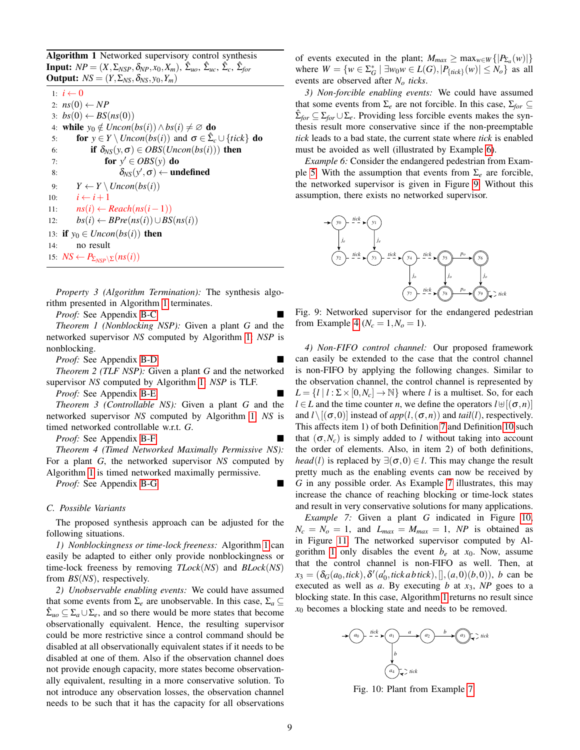<span id="page-8-2"></span>Algorithm 1 Networked supervisory control synthesis **Input:**  $NP = (X, \Sigma_{NSP}, \delta_{NP}, x_0, X_m)$ ,  $\hat{\Sigma}_{uo}, \hat{\Sigma}_{uc}, \hat{\Sigma}_{c}, \hat{\Sigma}_{for}$ **Output:**  $NS = (Y, \Sigma_{NS}, \delta_{NS}, y_0, Y_m)$ 

1:  $i \leftarrow 0$ 2:  $ns(0) \leftarrow NP$  $3: bs(0) \leftarrow BS(ns(0))$ 4: while *y*<sup>0</sup> ∉ *Uncon*(*bs*(*i*)) ∧ *bs*(*i*)  $\neq \emptyset$  do 5: **for**  $y \in Y \setminus Uncon(bs(i))$  and  $\sigma \in \hat{\Sigma}_c \cup \{tick\}$  do 6: **if**  $\delta_{NS}(y, \sigma) \in OBS(Uncon(bs(i)))$  then 7: **for**  $y' \in OBS(y)$  do 8:  $\delta_{NS}(y',\sigma) \leftarrow \textbf{undefined}$ 9:  $Y \leftarrow Y \setminus Uncon(bs(i))$ 10:  $i \leftarrow i+1$ 11: *ns*(*i*) ← *Reach*(*ns*(*i*−1)) 12: *bs*(*i*) ← *BPre*(*ns*(*i*))∪*BS*(*ns*(*i*)) 13: if  $y_0 \in Uncon(bs(i))$  then 14: no result 15: *NS* ← *P*Σ*NSP*\Σ(*ns*(*i*))

*Property 3 (Algorithm Termination):* The synthesis algorithm presented in Algorithm [1](#page-8-2) terminates.

*Proof:* See Appendix [B-C.](#page-13-1)

<span id="page-8-7"></span>*Theorem 1 (Nonblocking NSP):* Given a plant *G* and the networked supervisor *NS* computed by Algorithm [1:](#page-8-2) *NSP* is nonblocking.

*Proof:* See Appendix [B-D.](#page-13-2)

<span id="page-8-8"></span>*Theorem 2 (TLF NSP):* Given a plant *G* and the networked supervisor *NS* computed by Algorithm [1:](#page-8-2) *NSP* is TLF.

*Proof:* See Appendix [B-E.](#page-13-3)

<span id="page-8-9"></span>*Theorem 3 (Controllable NS):* Given a plant *G* and the networked supervisor *NS* computed by Algorithm [1:](#page-8-2) *NS* is timed networked controllable w.r.t. *G*.

*Proof:* See Appendix [B-F.](#page-14-1)

<span id="page-8-10"></span>*Theorem 4 (Timed Networked Maximally Permissive NS):* For a plant *G*, the networked supervisor *NS* computed by Algorithm [1](#page-8-2) is timed networked maximally permissive.

*Proof:* See Appendix [B-G.](#page-14-2)

#### <span id="page-8-1"></span>*C. Possible Variants*

The proposed synthesis approach can be adjusted for the following situations.

*1) Nonblockingness or time-lock freeness:* Algorithm [1](#page-8-2) can easily be adapted to either only provide nonblockingness or time-lock freeness by removing *TLock*(*NS*) and *BLock*(*NS*) from *BS*(*NS*), respectively.

*2) Unobservable enabling events:* We could have assumed that some events from  $\Sigma_e$  are unobservable. In this case,  $\Sigma_a \subseteq$  $\hat{\Sigma}_{uo} \subseteq \Sigma_a \cup \Sigma_e$ , and so there would be more states that become observationally equivalent. Hence, the resulting supervisor could be more restrictive since a control command should be disabled at all observationally equivalent states if it needs to be disabled at one of them. Also if the observation channel does not provide enough capacity, more states become observationally equivalent, resulting in a more conservative solution. To not introduce any observation losses, the observation channel needs to be such that it has the capacity for all observations of events executed in the plant;  $M_{max} \ge \max_{w \in W} \{|P_{\Sigma_a}(w)|\}$ where  $W = \{ w \in \Sigma_G^* \mid \exists w_0 w \in L(G), |P_{\{tick\}}(w)| \le N_o \}$  as all events are observed after *N<sup>o</sup> ticks*.

*3) Non-forcible enabling events:* We could have assumed that some events from  $\Sigma_e$  are not forcible. In this case,  $\Sigma_{for} \subseteq$  $\hat{\Sigma}_{for} \subseteq \Sigma_{for} \cup \Sigma_{e}$ . Providing less forcible events makes the synthesis result more conservative since if the non-preemptable *tick* leads to a bad state, the current state where *tick* is enabled must be avoided as well (illustrated by Example [6\)](#page-8-3).

<span id="page-8-3"></span>*Example 6:* Consider the endangered pedestrian from Exam-ple [5.](#page-7-2) With the assumption that events from  $\Sigma_e$  are forcible, the networked supervisor is given in Figure [9.](#page-8-4) Without this assumption, there exists no networked supervisor.

<span id="page-8-4"></span>

Fig. 9: Networked supervisor for the endangered pedestrian from Example [4](#page-6-2) ( $N_c = 1, N_o = 1$ ).

<span id="page-8-0"></span>*4) Non-FIFO control channel:* Our proposed framework can easily be extended to the case that the control channel is non-FIFO by applying the following changes. Similar to the observation channel, the control channel is represented by  $L = \{l | l : \Sigma \times [0, N_c] \to \mathbb{N}\}\$  where *l* is a multiset. So, for each  $l \in L$  and the time counter *n*, we define the operators  $l \uplus [(\sigma, n)]$ and  $l \setminus [(\sigma,0)]$  instead of  $app(l,(\sigma,n))$  and  $tail(l)$ , respectively. This affects item 1) of both Definition [7](#page-5-2) and Definition [10](#page-6-4) such that  $(\sigma, N_c)$  is simply added to *l* without taking into account the order of elements. Also, in item 2) of both definitions, *head*(*l*) is replaced by  $\exists (\sigma, 0) \in l$ . This may change the result pretty much as the enabling events can now be received by *G* in any possible order. As Example [7](#page-8-5) illustrates, this may increase the chance of reaching blocking or time-lock states and result in very conservative solutions for many applications.

<span id="page-8-5"></span>*Example 7:* Given a plant *G* indicated in Figure [10,](#page-8-6)  $N_c = N_o = 1$ , and  $L_{max} = M_{max} = 1$ , *NP* is obtained as in Figure [11.](#page-9-2) The networked supervisor computed by Al-gorithm [1](#page-8-2) only disables the event  $b_e$  at  $x_0$ . Now, assume that the control channel is non-FIFO as well. Then, at  $x_3 = (\delta_G(a_0, tick), \delta'(a'_0, tick \, thick, \, thick), [], (a, 0)(b, 0)), \, b \text{ can be}$ executed as well as  $a$ . By executing  $b$  at  $x_3$ ,  $NP$  goes to a blocking state. In this case, Algorithm [1](#page-8-2) returns no result since *x*<sup>0</sup> becomes a blocking state and needs to be removed.

<span id="page-8-6"></span>

Fig. 10: Plant from Example [7.](#page-8-5)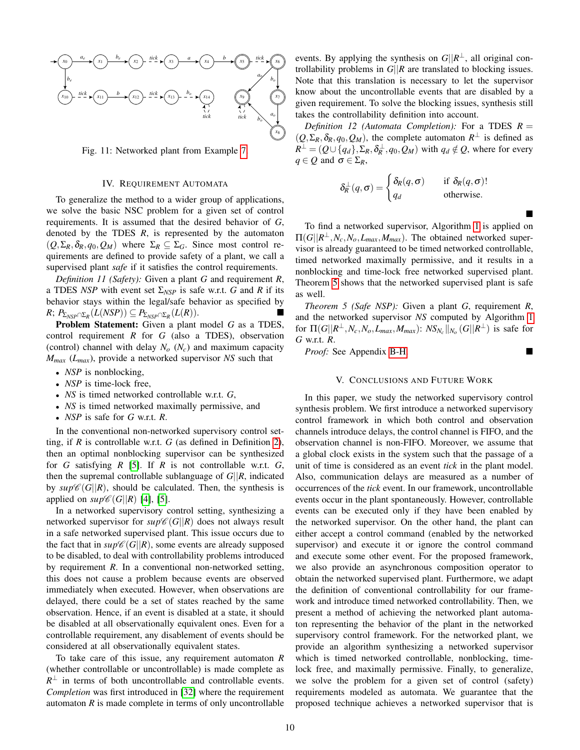<span id="page-9-2"></span>

Fig. 11: Networked plant from Example [7.](#page-8-5)

#### IV. REQUIREMENT AUTOMATA

<span id="page-9-0"></span>To generalize the method to a wider group of applications, we solve the basic NSC problem for a given set of control requirements. It is assumed that the desired behavior of *G*, denoted by the TDES  $R$ , is represented by the automaton  $(Q, \Sigma_R, \delta_R, q_0, Q_M)$  where  $\Sigma_R \subseteq \Sigma_G$ . Since most control requirements are defined to provide safety of a plant, we call a supervised plant *safe* if it satisfies the control requirements.

*Definition 11 (Safety):* Given a plant *G* and requirement *R*, a TDES *NSP* with event set  $\Sigma_{NSP}$  is safe w.r.t. *G* and *R* if its behavior stays within the legal/safe behavior as specified by  $R$ ;  $P_{\Sigma_{NSP} \cap \Sigma_R}(L(NSP)) \subseteq P_{\Sigma_{NSP} \cap \Sigma_R}(L(R)).$ 

Problem Statement: Given a plant model *G* as a TDES, control requirement *R* for *G* (also a TDES), observation (control) channel with delay *N<sup>o</sup>* (*Nc*) and maximum capacity *Mmax* (*Lmax*), provide a networked supervisor *NS* such that

- *NSP* is nonblocking,
- *NSP* is time-lock free,
- *NS* is timed networked controllable w.r.t. *G*,
- *NS* is timed networked maximally permissive, and
- *NSP* is safe for *G* w.r.t. *R*.

In the conventional non-networked supervisory control setting, if *R* is controllable w.r.t. *G* (as defined in Definition [2\)](#page-3-5), then an optimal nonblocking supervisor can be synthesized for *G* satisfying *R* [\[5\]](#page-15-3). If *R* is not controllable w.r.t. *G*, then the supremal controllable sublanguage of *G*||*R*, indicated by  $sup\mathscr{C}(G||R)$ , should be calculated. Then, the synthesis is applied on  $\sup \mathscr{C}(G||R)$  [\[4\]](#page-15-2), [\[5\]](#page-15-3).

In a networked supervisory control setting, synthesizing a networked supervisor for  $sup\mathscr{C}(G||R)$  does not always result in a safe networked supervised plant. This issue occurs due to the fact that in  $\sup \mathscr{C}(G||R)$ , some events are already supposed to be disabled, to deal with controllability problems introduced by requirement *R*. In a conventional non-networked setting, this does not cause a problem because events are observed immediately when executed. However, when observations are delayed, there could be a set of states reached by the same observation. Hence, if an event is disabled at a state, it should be disabled at all observationally equivalent ones. Even for a controllable requirement, any disablement of events should be considered at all observationally equivalent states.

To take care of this issue, any requirement automaton *R* (whether controllable or uncontrollable) is made complete as  $R^{\perp}$  in terms of both uncontrollable and controllable events. *Completion* was first introduced in [\[32\]](#page-15-30) where the requirement automaton  $R$  is made complete in terms of only uncontrollable

events. By applying the synthesis on  $G||R^{\perp}$ , all original controllability problems in *G*||*R* are translated to blocking issues. Note that this translation is necessary to let the supervisor know about the uncontrollable events that are disabled by a given requirement. To solve the blocking issues, synthesis still takes the controllability definition into account.

*Definition 12 (Automata Completion):* For a TDES  $R =$  $(Q, \Sigma_R, \delta_R, q_0, Q_M)$ , the complete automaton  $R^{\perp}$  is defined as  $R^{\perp} = (Q \cup \{q_d\}, \Sigma_R, \delta_R^{\perp}, q_0, Q_M)$  with  $q_d \notin Q$ , where for every  $q \in Q$  and  $\sigma \in \Sigma_R$ ,

$$
\delta_R^{\perp}(q, \sigma) = \begin{cases} \delta_R(q, \sigma) & \text{if } \delta_R(q, \sigma)! \\ q_d & \text{otherwise.} \end{cases}
$$

 $\blacksquare$ 

To find a networked supervisor, Algorithm [1](#page-8-2) is applied on  $\Pi(G||R^{\perp}, N_c, N_o, L_{max}, M_{max})$ . The obtained networked supervisor is already guaranteed to be timed networked controllable, timed networked maximally permissive, and it results in a nonblocking and time-lock free networked supervised plant. Theorem [5](#page-9-3) shows that the networked supervised plant is safe as well.

<span id="page-9-3"></span>*Theorem 5 (Safe NSP):* Given a plant *G*, requirement *R*, and the networked supervisor *NS* computed by Algorithm [1](#page-8-2) for  $\Pi(G||R^\perp, N_c, N_o, L_{max}, M_{max})$ :  $NS_{N_c}||_{N_o}(G||R^\perp)$  is safe for *G* w.r.t. *R*.

*Proof:* See Appendix [B-H.](#page-14-3)

#### V. CONCLUSIONS AND FUTURE WORK

<span id="page-9-1"></span>In this paper, we study the networked supervisory control synthesis problem. We first introduce a networked supervisory control framework in which both control and observation channels introduce delays, the control channel is FIFO, and the observation channel is non-FIFO. Moreover, we assume that a global clock exists in the system such that the passage of a unit of time is considered as an event *tick* in the plant model. Also, communication delays are measured as a number of occurrences of the *tick* event. In our framework, uncontrollable events occur in the plant spontaneously. However, controllable events can be executed only if they have been enabled by the networked supervisor. On the other hand, the plant can either accept a control command (enabled by the networked supervisor) and execute it or ignore the control command and execute some other event. For the proposed framework, we also provide an asynchronous composition operator to obtain the networked supervised plant. Furthermore, we adapt the definition of conventional controllability for our framework and introduce timed networked controllability. Then, we present a method of achieving the networked plant automaton representing the behavior of the plant in the networked supervisory control framework. For the networked plant, we provide an algorithm synthesizing a networked supervisor which is timed networked controllable, nonblocking, timelock free, and maximally permissive. Finally, to generalize, we solve the problem for a given set of control (safety) requirements modeled as automata. We guarantee that the proposed technique achieves a networked supervisor that is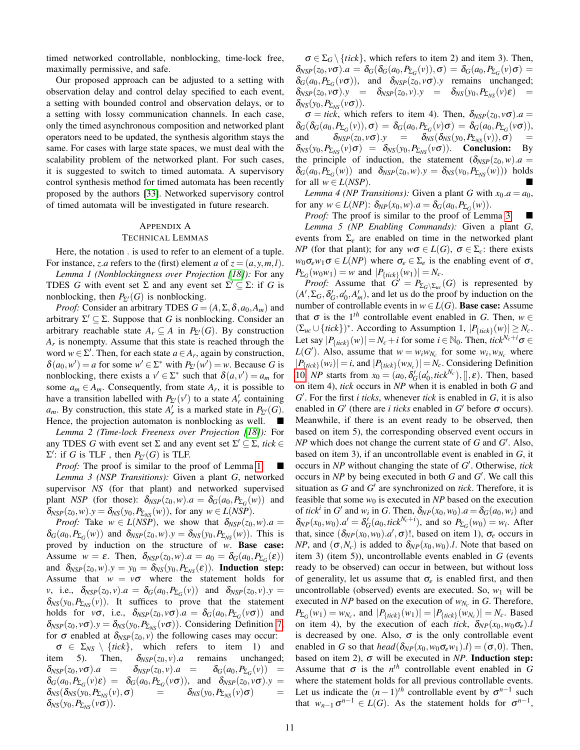timed networked controllable, nonblocking, time-lock free, maximally permissive, and safe.

Our proposed approach can be adjusted to a setting with observation delay and control delay specified to each event, a setting with bounded control and observation delays, or to a setting with lossy communication channels. In each case, only the timed asynchronous composition and networked plant operators need to be updated, the synthesis algorithm stays the same. For cases with large state spaces, we must deal with the scalability problem of the networked plant. For such cases, it is suggested to switch to timed automata. A supervisory control synthesis method for timed automata has been recently proposed by the authors [\[33\]](#page-15-31). Networked supervisory control of timed automata will be investigated in future research.

### APPENDIX A TECHNICAL LEMMAS

Here, the notation . is used to refer to an element of a tuple. For instance, *z.a* refers to the (first) element *a* of  $z = (a, y, m, l)$ .

<span id="page-10-0"></span>*Lemma 1 (Nonblockingness over Projection [\[18\]](#page-15-12)):* For any TDES *G* with event set  $\Sigma$  and any event set  $\Sigma' \subseteq \Sigma$ : if *G* is nonblocking, then  $P_{\Sigma'}(G)$  is nonblocking.

*Proof:* Consider an arbitrary TDES  $G = (A, \Sigma, \delta, a_0, A_m)$  and arbitrary  $\Sigma' \subseteq \Sigma$ . Suppose that *G* is nonblocking. Consider an arbitrary reachable state  $A_r \subseteq A$  in  $P_{\Sigma}$ <sup>(*G*)</sup>. By construction *Ar* is nonempty. Assume that this state is reached through the word  $w \in \Sigma'$ . Then, for each state  $a \in A_r$ , again by construction,  $\delta(a_0, w') = a$  for some  $w' \in \Sigma^*$  with  $P_{\Sigma'}(w') = w$ . Because *G* is nonblocking, there exists a  $v' \in \Sigma^*$  such that  $\delta(a, v') = a_m$  for some  $a_m \in A_m$ . Consequently, from state  $A_r$ , it is possible to have a transition labelled with  $P_{\Sigma}(\nu')$  to a state  $A'_r$  containing  $a_m$ . By construction, this state  $A'_r$  is a marked state in  $P_{\Sigma'}(G)$ . Hence, the projection automaton is nonblocking as well.  $\Box$ 

*Lemma 2 (Time-lock Freeness over Projection [\[18\]](#page-15-12)):* For any TDES *G* with event set  $\Sigma$  and any event set  $\Sigma' \subseteq \Sigma$ , *tick*  $\in$  $\Sigma'$ : if *G* is TLF, then  $P_{\Sigma'}(G)$  is TLF.

<span id="page-10-1"></span>*Proof:* The proof is similar to the proof of Lemma [1.](#page-10-0) *Lemma 3 (NSP Transitions):* Given a plant *G*, networked supervisor *NS* (for that plant) and networked supervised plant *NSP* (for those):  $\delta_{NSP}(z_0, w) \cdot a = \delta_G(a_0, P_{\Sigma_G}(w))$  and  $\delta_{NSP}(z_0, w) \cdot y = \delta_{NS}(y_0, P_{\Sigma_{NS}}(w))$ , for any  $w \in L(NSP)$ .

*Proof:* Take  $w \in L(NSP)$ , we show that  $\delta_{NSP}(z_0, w) \cdot a =$  $\delta_G(a_0, P_{\Sigma_G}(w))$  and  $\delta_{NSP}(z_0, w) \cdot y = \delta_{NS}(y_0, P_{\Sigma_{NS}}(w))$ . This is proved by induction on the structure of *w*. Base case: Assume  $w = \varepsilon$ . Then,  $\delta_{NSP}(z_0, w) \cdot a = a_0 = \delta_G(a_0, P_{\Sigma_G}(\varepsilon))$ and  $\delta_{NSP}(z_0,w).y = y_0 = \delta_{NS}(y_0,P_{\Sigma_{NS}}(\varepsilon)).$  Induction step: Assume that  $w = v\sigma$  where the statement holds for *v*, i.e.,  $\delta_{NSP}(z_0, v) \cdot a = \delta_G(a_0, P_{\Sigma_G}(v))$  and  $\delta_{NSP}(z_0, v) \cdot y =$  $\delta_{NS}(y_0, P_{\Sigma_{NS}}(v))$ . It suffices to prove that the statement holds for  $v\sigma$ , i.e.,  $\delta_{NSP}(z_0, v\sigma) \cdot a = \delta_G(a_0, P_{\Sigma_G}(v\sigma))$  and  $\delta_{NSP}(z_0, v\sigma)$ .*y* =  $\delta_{NS}(y_0, P_{\Sigma_{NS}}(v\sigma))$ . Considering Definition [7,](#page-5-2) for  $\sigma$  enabled at  $\delta_{NSP}(z_0, v)$  the following cases may occur:

 $\sigma \in \Sigma_{NS} \setminus \{tick\}$ , which refers to item 1) and item 5). Then,  $\delta_{NSP}(z_0, v)$ .*a* remains unchanged;  $\delta_{NSP}(z_0, v\sigma).a = \delta_{NSP}(z_0, v).a = \delta_G(a_0, P_{\Sigma_G}(v)) =$  $\delta_G(a_0, P_{\Sigma_G}(v)\varepsilon) = \delta_G(a_0, P_{\Sigma_G}(v\sigma)),$  and  $\delta_{NSP}(z_0, v\sigma).y =$  $\delta_{NS}(\delta_{NS}(y_0, P_{\Sigma_{NS}}(v), \sigma))$  =  $\delta_{NS}(y_0, P_{\Sigma_{NS}}(v) \sigma)$  =  $\delta_{NS}(y_0, P_{\Sigma_{NS}}(v\sigma)).$ 

 $\sigma \in \Sigma_G \setminus \{tick\}$ , which refers to item 2) and item 3). Then,  $\delta_{\text{NSP}}(z_0, v\sigma) \cdot a = \delta_G(\delta_G(a_0, P_{\Sigma_G}(v)), \sigma) = \delta_G(a_0, P_{\Sigma_G}(v)\sigma) =$  $\delta_G(a_0, P_{\Sigma_G}(v\sigma))$ , and  $\delta_{NSP}(z_0, v\sigma)$ .*y* remains unchanged;  $\delta_{NSP}(z_0, v\sigma).y = \delta_{NSP}(z_0, v).y = \delta_{NS}(y_0, P_{\Sigma_{NS}}(v)\varepsilon) =$  $\delta_{NS}(y_0, P_{\Sigma_{NS}}(v\sigma)).$ 

 $\sigma =$  *tick*, which refers to item 4). Then,  $\delta_{NSP}(z_0, v\sigma)$ .  $a =$  $\delta_G(\delta_G(a_0, P_{\Sigma_G}(v)), \sigma) = \delta_G(a_0, P_{\Sigma_G}(v) \sigma) = \delta_G(a_0, P_{\Sigma_G}(v \sigma)),$ and  $\delta_{NSP}(z_0, v\sigma).y = \delta_{NS}(\delta_{NS}(y_0, P_{\Sigma_{NS}}(v)), \sigma)$  $\delta_{NS}(y_0, P_{\Sigma_{NS}}(v) \sigma) = \delta_{NS}(y_0, P_{\Sigma_{NS}}(v \sigma)).$  Conclusion: By the principle of induction, the statement  $(\delta_{NSP}(z_0, w) \cdot a =$  $\delta_G(a_0, P_{\Sigma_G}(w))$  and  $\delta_{NSP}(z_0, w) \cdot y = \delta_{NS}(v_0, P_{\Sigma_{NS}}(w))$  holds for all  $w \in L(NSP)$ .

<span id="page-10-2"></span>*Lemma 4 (NP Transitions):* Given a plant *G* with  $x_0$ .*a* = *a*<sub>0</sub>, for any  $w \in L(NP)$ :  $\delta_{NP}(x_0, w) \cdot a = \delta_G(a_0, P_{\Sigma_G}(w))$ .

*Proof:* The proof is similar to the proof of Lemma [3.](#page-10-1)

<span id="page-10-3"></span>*Lemma 5 (NP Enabling Commands):* Given a plant *G*, events from  $\Sigma_e$  are enabled on time in the networked plant *NP* (for that plant); for any  $w\sigma \in L(G)$ ,  $\sigma \in \Sigma_c$ : there exists  $w_0 \sigma_e w_1 \sigma \in L(NP)$  where  $\sigma_e \in \Sigma_e$  is the enabling event of  $\sigma$ ,  $P_{\Sigma_G}(w_0w_1) = w$  and  $|P_{\{tick\}}(w_1)| = N_c$ .

*Proof:* Assume that  $G' = P_{\Sigma_G \setminus \Sigma_{uc}}(G)$  is represented by  $(A', \Sigma_G, \delta'_G, a'_0, A'_m)$ , and let us do the proof by induction on the number of controllable events in  $w \in L(G)$ . Base case: Assume that  $\sigma$  is the 1<sup>th</sup> controllable event enabled in *G*. Then,  $w \in$  $(\sum_{uc} \cup \{tick\})^*$ . According to Assumption 1,  $|P_{\{tick\}}(w)| \ge N_c$ . Let say  $|P_{\text{ftick}}(w)| = N_c + i$  for some  $i \in \mathbb{N}_0$ . Then,  $tick^{N_c+i} \sigma \in$  $L(G')$ . Also, assume that  $w = w_i w_{N_c}$  for some  $w_i, w_{N_c}$  where  $|P_{\text{flick}}(w_i)| = i$ , and  $|P_{\text{flick}}(w_{N_c})| = N_c$ . Considering Definition [10,](#page-6-4) *NP* starts from  $x_0 = (a_0, \delta_G'(a'_0, tick^{N_c}),[],\varepsilon)$ . Then, based on item 4), *tick* occurs in *NP* when it is enabled in both *G* and *G* 0 . For the first *i ticks*, whenever *tick* is enabled in *G*, it is also enabled in  $G'$  (there are *i ticks* enabled in  $G'$  before  $\sigma$  occurs). Meanwhile, if there is an event ready to be observed, then based on item 5), the corresponding observed event occurs in  $NP$  which does not change the current state of  $G$  and  $G'$ . Also, based on item 3), if an uncontrollable event is enabled in *G*, it occurs in *NP* without changing the state of *G* 0 . Otherwise, *tick* occurs in *NP* by being executed in both *G* and *G'*. We call this situation as  $G$  and  $G'$  are synchronized on *tick*. Therefore, it is feasible that some  $w_0$  is executed in  $NP$  based on the execution of *tick*<sup>*i*</sup> in *G'* and *w<sub>i</sub>* in *G*. Then,  $\delta_{NP}(x_0, w_0) \cdot a = \delta_G(a_0, w_i)$  and  $\delta_{NP}(x_0, w_0) \cdot a' = \delta_G'(a_0, tick^{N_c+i})$ , and so  $P_{\Sigma_G}(w_0) = w_i$ . After that, since  $(\delta_{NP}(x_0, w_0).a', \sigma)$ !, based on item 1),  $\sigma_e$  occurs in *NP*, and  $(\sigma, N_c)$  is added to  $\delta_{NP}(x_0, w_0)$ .*l*. Note that based on item 3) (item 5)), uncontrollable events enabled in *G* (events ready to be observed) can occur in between, but without loss of generality, let us assume that  $\sigma_e$  is enabled first, and then uncontrollable (observed) events are executed. So,  $w_1$  will be executed in *NP* based on the execution of *wN<sup>c</sup>* in *G*. Therefore, *P*<sub>Σ</sub>*G*</sub>(*w*<sub>1</sub>) = *w*<sub>*N<sub>c</sub>*</sub>, and  $|P_{\text{flick}}(w_1)| = |P_{\text{flick}}(w_{N_c})| = N_c$ . Based on item 4), by the execution of each *tick*,  $\delta_{NP}(x_0, w_0 \sigma_e)$ . is decreased by one. Also,  $\sigma$  is the only controllable event enabled in *G* so that *head*( $\delta_{NP}(x_0, w_0 \sigma_e w_1)$ ).*l*) = ( $\sigma$ ,0). Then, based on item 2),  $\sigma$  will be executed in *NP*. **Induction step:** Assume that  $\sigma$  is the  $n^{th}$  controllable event enabled in *G* where the statement holds for all previous controllable events. Let us indicate the  $(n-1)$ <sup>th</sup> controllable event by  $\sigma^{n-1}$  such that  $w_{n-1} \sigma^{n-1} \in L(G)$ . As the statement holds for  $\sigma^{n-1}$ ,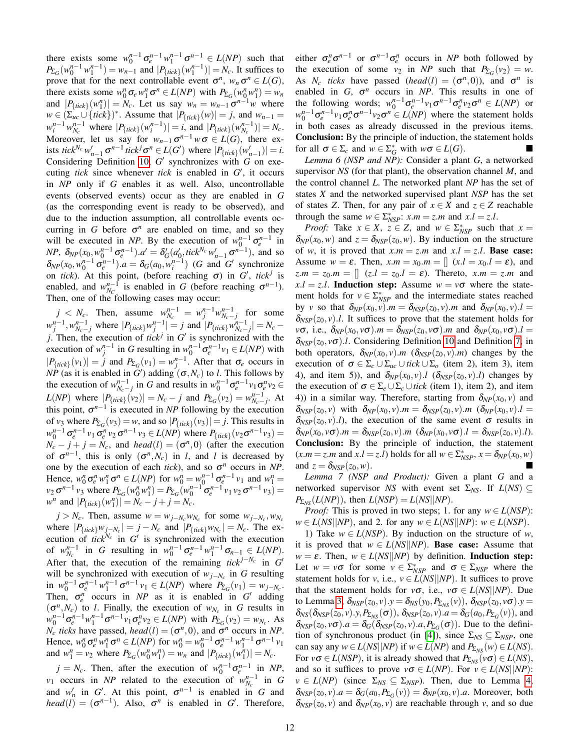there exists some  $w_0^{n-1} \sigma_e^{n-1} w_1^{n-1} \sigma_1^{n-1} \in L(NP)$  such that  $P_{\Sigma_G}(w_0^{n-1} w_1^{n-1}) = w_{n-1}$  and  $|P_{\{tick\}}(w_1^{n-1})| = N_c$ . It suffices to prove that for the next controllable event  $\sigma^n$ ,  $w_n \sigma^n \in L(G)$ , there exists some  $w_0^n \sigma_e w_1^n \sigma^n \in L(NP)$  with  $P_{\Sigma_G}(w_0^n w_1^n) = w_n$ and  $|P_{\text{flick}}(w_1^n)| = N_c$ . Let us say  $w_n = w_{n-1} \sigma^{n-1} w$  where  $w \in (\sum_{uc} \cup \{tick\})^*$ . Assume that  $|P_{\{tick\}}(w)| = j$ , and  $w_{n-1} = j$  $w_i^{n-1} w_{N_c}^{n-1}$  where  $|P_{\{tick\}}(w_i^{n-1})| = i$ , and  $|P_{\{tick\}}(w_{N_c}^{n-1})| = N_c$ . Moreover, let us say for  $w_{n-1} \sigma^{n-1} w \sigma \in L(G)$ , there exists *tick*<sup>*Nc*</sup>  $w'_{n-1}$   $\sigma^{n-1}$  *tick*<sup>*j*</sup>  $\sigma^n \in L(G')$  where  $|P_{\text{fick}}(w'_{n-1})| = i$ . Considering Definition [10,](#page-6-4)  $G'$  synchronizes with  $G$  on executing *tick* since whenever *tick* is enabled in  $G'$ , it occurs in *NP* only if *G* enables it as well. Also, uncontrollable events (observed events) occur as they are enabled in *G* (as the corresponding event is ready to be observed), and due to the induction assumption, all controllable events occurring in *G* before  $\sigma^n$  are enabled on time, and so they will be executed in *NP*. By the execution of  $w_0^{n-1} \sigma_e^{n-1}$  in *NP*,  $\delta_{NP}(x_0, w_0^{n-1} \sigma_e^{n-1}) \cdot a' = \delta_G'(a_0', tick^{N_c} w_{n-1}' \sigma_n^{n-1})$ , and so  $\delta_{NP}(x_0, w_0^{n-1} \sigma_e^{n-1}) \cdot a = \delta_G(a_0, w_i^{n-1})$  (*G* and *G*<sup>*'*</sup> synchronize on *tick*). At this point, (before reaching  $\sigma$ ) in  $G'$ , tick<sup>j</sup> is enabled, and  $w_{N_C}^{n-1}$  is enabled in *G* (before reaching  $\sigma^{n-1}$ ). Then, one of the following cases may occur:

*j* < *N<sub>c</sub>*. Then, assume  $w_{N_c}^{n-1} = w_j^{n-1} w_{N_c - j}^{n-1}$  for some  $|w_j^{n-1}, w_{N_c-j}^{n-1}|$  where  $|P_{\text{tick}} w_j^{n-1}| = j$  and  $|P_{\text{tick}} w_{N_c-j}^{n-1}| = N_c - j$ *j*. Then, the execution of *tick*<sup>*j*</sup> in  $G'$  is synchronized with the execution of  $w_j^{n-1}$  in *G* resulting in  $w_0^{n-1} \sigma_e^{n-1} v_1 \in L(NP)$  with  $|P_{\text{flick}}(v_1)| = j$  and  $P_{\Sigma_G}(v_1) = w_j^{n-1}$ . After that  $\sigma_e$  occurs in *NP* (as it is enabled in *G*<sup> $\prime$ </sup>) adding  $(\sigma, N_c)$  to *l*. This follows by the execution of  $w_{N_c-j}^{n-1}$  in *G* and results in  $w_0^{n-1}\sigma_e^{n-1}v_1\sigma_e^n v_2 \in$  $L(NP)$  where  $|P_{\text{flick}}(\nu_2)| = N_c - j$  and  $P_{\Sigma_G}(\nu_2) = w_{N_c - j}^{n-1}$ . At this point,  $\sigma^{n-1}$  is executed in *NP* following by the execution of  $v_3$  where  $P_{\Sigma_G}(v_3) = w$ , and so  $|P_{\{tick\}}(v_3)| = j$ . This results in  $w_0^{n-1}$   $\sigma_e^{n-1}$  *v*<sub>1</sub>  $\sigma_e^{n}$  *v*<sub>2</sub>  $\sigma^{n-1}$  *v*<sub>3</sub>  $\in L(NP)$  where  $P_{\text{ $\{tick\}}}(v_2 \sigma^{n-1} v_3)$  =  $N_c - j + j = N_c$ , and *head*(*l*) = ( $\sigma^n$ ,0) (after the execution of  $\sigma^{n-1}$ , this is only  $(\sigma^n, N_c)$  in *l*, and *l* is decreased by one by the execution of each *tick*), and so  $\sigma^n$  occurs in *NP*. Hence,  $w_0^n \sigma_e^n w_1^n \sigma^n \in L(NP)$  for  $w_0^n = w_0^{n-1} \sigma_e^{n-1} v_1$  and  $w_1^n =$  $v_2 \sigma^{n-1} v_3$  where  $P_{\Sigma_G}(w_0^n w_1^n) = P_{\Sigma_G}(w_0^{n-1} \sigma_e^{n-1} v_1 v_2 \sigma^{n-1} v_3) =$  $w^n$  and  $|P_{\text{flick}}(w_1^n)| = N_c - j + j = N_c$ .

 $j > N_c$ . Then, assume  $w = w_{j-N_c}w_{N_c}$  for some  $w_{j-N_c}$ ,  $w_{N_c}$ where  $|P_{\text{flick}}|w_{j-N_c}| = j - N_c$  and  $|P_{\text{flick}}|w_{N_c}| = N_c$ . The execution of *tick*<sup> $N_c$ </sup> in  $G'$  is synchronized with the execution of  $w_{N_c}^{n-1}$  in *G* resulting in  $w_0^{n-1} \sigma_e^{n-1} w_1^{n-1} \sigma_{n-1} \in L(NP)$ . After that, the execution of the remaining  $tick^{j-N_c}$  in  $G'$ will be synchronized with execution of  $w_{j-N_c}$  in *G* resulting in  $w_0^{n-1} \sigma_e^{n-1} w_1^{n-1} \sigma_1^{n-1} v_1 \in L(NP)$  where  $P_{\Sigma_G}(v_1) = w_{j-N_c}$ . Then,  $\sigma_e^n$  occurs in *NP* as it is enabled in  $G'$  adding  $(\sigma^n, N_c)$  to *l*. Finally, the execution of  $w_{N_c}$  in *G* results in  $w_0^{n-1} \sigma_e^{n-1} w_1^{n-1} \sigma^{n-1} v_1 \sigma_e^{n} v_2 \in L(NP)$  with  $P_{\Sigma_G}(v_2) = w_{N_c}$ . As  $N_c$  *ticks* have passed, *head*(*l*) = ( $\sigma^n$ ,0), and  $\sigma^n$  occurs in *NP*. Hence,  $w_0^n \sigma_e^n w_1^n \sigma^n \in L(NP)$  for  $w_0^n = w_0^{n-1} \sigma_e^{n-1} w_1^{n-1} \sigma_1^{n-1} v_1$ and  $w_1^n = v_2$  where  $P_{\Sigma_G}(w_0^n w_1^n) = w_n$  and  $|P_{\{tick\}}(w_1^n)| = N_c$ .

 $j = N_c$ . Then, after the execution of  $w_0^{n-1} \sigma_e^{n-1}$  in *NP*, *v*<sub>1</sub> occurs in *NP* related to the execution of  $w_{N_c}^{n-1}$  in *G* and  $w'_n$  in *G'*. At this point,  $\sigma^{n-1}$  is enabled in *G* and *head*(*l*) =  $(\sigma^{n-1})$ . Also,  $\sigma^n$  is enabled in *G*<sup>'</sup>. Therefore,

either  $\sigma_e^n \sigma^{n-1}$  or  $\sigma^{n-1} \sigma_e^n$  occurs in *NP* both followed by the execution of some  $v_2$  in *NP* such that  $P_{\Sigma_G}(v_2) = w$ . As *N<sub>c</sub> ticks* have passed (*head*(*l*) =  $(\sigma^n, 0)$ ), and  $\sigma^n$  is enabled in  $G$ ,  $\sigma^n$  occurs in *NP*. This results in one of the following words;  $w_0^{n-1}\sigma_e^{n-1}v_1\sigma^{n-1}\sigma_e^n v_2\sigma^n \in L(NP)$  or  $w_0^{n-1} \sigma_e^{n-1} v_1 \sigma_e^{n} \sigma^{n-1} v_2 \sigma^n \in L(NP)$  where the statement holds in both cases as already discussed in the previous items. Conclusion: By the principle of induction, the statement holds for all  $\sigma \in \Sigma_c$  and  $w \in \Sigma_G^*$  with  $w\sigma \in L(G)$ .

<span id="page-11-0"></span>*Lemma 6 (NSP and NP):* Consider a plant *G*, a networked supervisor *NS* (for that plant), the observation channel *M*, and the control channel *L*. The networked plant *NP* has the set of states *X* and the networked supervised plant *NSP* has the set of states *Z*. Then, for any pair of  $x \in X$  and  $z \in Z$  reachable through the same  $w \in \sum_{NSP}^{*}$ :  $x.m = z.m$  and  $x.l = z.l$ .

*Proof:* Take  $x \in X$ ,  $z \in Z$ , and  $w \in \sum_{NSP}^*$  such that  $x =$  $\delta_{NP}(x_0, w)$  and  $z = \delta_{NSP}(z_0, w)$ . By induction on the structure of *w*, it is proved that  $x.m = z.m$  and  $x.l = z.l$ . Base case: Assume  $w = \varepsilon$ . Then,  $x.m = x_0.m = [ (x.l = x_0.l = \varepsilon)$ , and  $z.m = z_0.m = [$   $(z.l = z_0.l = \varepsilon)$ . Thereto,  $x.m = z.m$  and  $x.l = z.l$ . Induction step: Assume  $w = v\sigma$  where the statement holds for  $v \in \sum_{NSP}^*$  and the intermediate states reached by *v* so that  $\delta_{NP}(x_0, v)$ .*m* =  $\delta_{NSP}(z_0, v)$ .*m* and  $\delta_{NP}(x_0, v)$ .*l* =  $\delta_{NSP}(z_0, v)$ .*l*. It suffices to prove that the statement holds for  $\nu\sigma$ , i.e.,  $\delta_{NP}(x_0, v\sigma)$ .*m* =  $\delta_{NSP}(z_0, v\sigma)$ .*m* and  $\delta_{NP}(x_0, v\sigma)$ .*l* =  $\delta_{NSP}(z_0, v\sigma)$ .*l*. Considering Definition [10](#page-6-4) and Definition [7,](#page-5-2) in both operators,  $\delta_{NP}(x_0, v)$ .*m* ( $\delta_{NSP}(z_0, v)$ .*m*) changes by the execution of  $\sigma \in \Sigma_c \cup \Sigma_{uc} \cup tick \cup \Sigma_o$  (item 2), item 3), item 4), and item 5)), and  $\delta_{NP}(x_0, v)$ .*l* ( $\delta_{NSP}(z_0, v)$ .*l*) changes by the execution of  $\sigma \in \Sigma_e \cup \Sigma_c \cup$  *tick* (item 1), item 2), and item 4)) in a similar way. Therefore, starting from  $\delta_{NP}(x_0, v)$  and  $\delta_{NSP}(z_0, v)$  with  $\delta_{NP}(x_0, v)$ .*m* =  $\delta_{NSP}(z_0, v)$ .*m* ( $\delta_{NP}(x_0, v)$ .*l* =  $\delta_{NSP}(z_0, v)$ .*l*), the execution of the same event  $\sigma$  results in  $\delta_{NP}(x_0, v\sigma)$ .*m* =  $\delta_{NSP}(z_0, v)$ .*m* ( $\delta_{NP}(x_0, v\sigma)$ .*l* =  $\delta_{NSP}(z_0, v)$ .*l*). Conclusion: By the principle of induction, the statement  $(x.m = z.m \text{ and } x.l = z.l) \text{ holds for all } w \in \sum_{NSP}^{*}$ ,  $x = \delta_{NP}(x_0, w)$ and  $z = \delta_{\text{NSP}}(z_0, w)$ .

<span id="page-11-1"></span>*Lemma 7 (NSP and Product):* Given a plant *G* and a networked supervisor *NS* with event set  $\Sigma_{NS}$ . If  $L(NS) \subseteq$  $P_{\Sigma_{NS}}(L(NP))$ , then  $L(NSP) = L(NS|NP)$ .

*Proof:* This is proved in two steps; 1. for any  $w \in L(NSP)$ :  $w \in L(NS||NP)$ , and 2. for any  $w \in L(NS||NP)$ :  $w \in L(NSP)$ .

1) Take  $w \in L(NSP)$ . By induction on the structure of *w*, it is proved that  $w \in L(NS||NP)$ . **Base case:** Assume that  $w = \varepsilon$ . Then,  $w \in L(NS||NP)$  by definition. **Induction step:** Let  $w = v\sigma$  for some  $v \in \Sigma_{NSP}^*$  and  $\sigma \in \Sigma_{NSP}$  where the statement holds for *v*, i.e.,  $v \in L(NS|NP)$ . It suffices to prove that the statement holds for  $v\sigma$ , i.e.,  $v\sigma \in L(NS||NP)$ . Due to Lemma [3,](#page-10-1)  $\delta_{NSP}(z_0, v) \cdot y = \delta_{NS}(y_0, P_{\Sigma_{NS}}(v)), \ \delta_{NSP}(z_0, v \sigma) \cdot y =$  $\delta_{NS}(\delta_{NSP}(z_0, v), y, P_{\Sigma_{NS}}(\sigma)), \delta_{NSP}(z_0, v). a = \delta_{G}(a_0, P_{\Sigma_{G}}(v)),$  and  $\delta_{NSP}(z_0, v\sigma) \cdot a = \delta_G(\delta_{NSP}(z_0, v) \cdot a, P_{\Sigma_G}(\sigma))$ . Due to the defini-tion of synchronous product (in [\[4\]](#page-15-2)), since  $\Sigma_{NS} \subseteq \Sigma_{NSP}$ , one can say any  $w \in L(NS||NP)$  if  $w \in L(NP)$  and  $P_{\Sigma_{NS}}(w) \in L(NS)$ . For  $v\sigma \in L(NSP)$ , it is already showed that  $P_{\Sigma_{NS}}(v\sigma) \in L(NS)$ , and so it suffices to prove  $v\sigma \in L(NP)$ . For  $v \in L(NS||NP)$ :  $v \in L(NP)$  (since  $\Sigma_{NS} \subseteq \Sigma_{NSP}$ ). Then, due to Lemma [4,](#page-10-2)  $\delta_{NSP}(z_0, v) \cdot a = \delta_G(a_0, P_{\Sigma_G}(v)) = \delta_{NP}(x_0, v) \cdot a$ . Moreover, both  $\delta_{NSP}(z_0, v)$  and  $\delta_{NP}(x_0, v)$  are reachable through *v*, and so due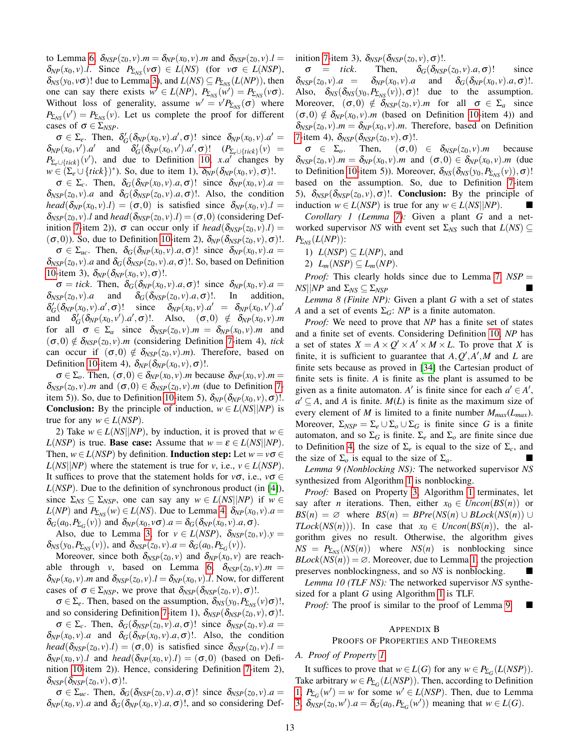to Lemma [6,](#page-11-0)  $\delta_{NSP}(z_0, v)$ .*m* =  $\delta_{NP}(x_0, v)$ .*m* and  $\delta_{NSP}(z_0, v)$ .*l* =  $\delta_{NP}(x_0, v)$ .*l*. Since  $P_{\Sigma_{NS}}(v\sigma) \in L(NS)$  (for  $v\sigma \in L(NSP)$ ,  $\delta_{NS}(y_0, v\sigma)$ ! due to Lemma [3\)](#page-10-1), and  $L(NS) \subseteq P_{\Sigma_{NS}}(L(NP))$ , then one can say there exists  $w' \in L(NP)$ ,  $P_{\Sigma_{NS}}(\widetilde{w'}) = P_{\Sigma_{NS}}(v\sigma)$ . Without loss of generality, assume  $w' = v' P_{\Sigma_{NS}}(\sigma)$  where  $P_{\Sigma_{NS}}(v') = P_{\Sigma_{NS}}(v)$ . Let us complete the proof for different cases of  $\sigma \in \Sigma_{NSP}$ .

 $\sigma \in \Sigma_e$ . Then,  $\delta'_G(\delta_{NP}(x_0, v).a', \sigma)!$  since  $\delta_{NP}(x_0, v).a' =$  $\delta_{NP}(x_0, v')$ .*a*' and  $\delta_G'(\delta_{NP}(x_0, v')$ .*a'*,  $\sigma)$ !  $(P_{\Sigma_e \cup \{tick\}}(v)$  =  $P_{\Sigma_e \cup \{tick\}}(v')$ , and due to Definition [10,](#page-6-4) *x*.*a*<sup> $\prime$ </sup> changes by  $w \in (\sum_e \cup \{tick\})^*$ ). So, due to item 1),  $\delta_{NP}(\delta_{NP}(x_0, v), \sigma)$ !.

 $\sigma \in \Sigma_c$ . Then,  $\delta_G(\delta_{NP}(x_0, v).a, \sigma)!$  since  $\delta_{NP}(x_0, v).a =$  $\delta_{NSP}(z_0, v)$ .*a* and  $\delta_G(\delta_{NSP}(z_0, v)$ .*a*,  $\sigma)$ !. Also, the condition *head*( $\delta_{NP}(x_0, v)$ .*l*) = ( $\sigma$ , 0) is satisfied since  $\delta_{NP}(x_0, v)$ .*l* =  $\delta_{NSP}(z_0, v)$ .*l* and *head*( $\delta_{NSP}(z_0, v)$ .*l*) = ( $\sigma$ ,0) (considering Def-inition [7-](#page-5-2)item 2)),  $\sigma$  can occur only if *head*( $\delta_{NSP}(z_0, v)$ ).*l*) =  $(\sigma,0)$ ). So, due to Definition [10-](#page-6-4)item 2),  $\delta_{NP}(\delta_{NSP}(z_0,v),\sigma)$ !.

 $\sigma \in \Sigma_{uc}$ . Then,  $\delta_G(\delta_{NP}(x_0, v).a, \sigma)!$  since  $\delta_{NP}(x_0, v).a =$  $\delta_{NSP}(z_0, v)$ .*a* and  $\delta_G(\delta_{NSP}(z_0, v).a, \sigma)$ !. So, based on Definition [10-](#page-6-4)item 3),  $\delta_{NP}(\delta_{NP}(x_0, v), \sigma)$ !.

 $\sigma =$  *tick*. Then,  $\delta_G(\delta_{NP}(x_0, v).a, \sigma)$ ! since  $\delta_{NP}(x_0, v).a =$  $\delta_{NSP}(z_0, v)$ .*a* and  $\delta_G(\delta_{NSP}(z_0, v)$ .*a*,  $\sigma)$ !. In addition,  $\delta_G'(\delta_{NP}(x_0,v).a')$  $(\sigma)$ ! since  $\delta_{NP}(x_0, v) \cdot a' = \delta_{NP}(x_0, v') \cdot a'$ and  $\delta_G'(\delta_{NP}(x_0, v'), a', \sigma)$ !. Also,  $(\sigma, 0) \notin \delta_{NP}(x_0, v)$ .*m* for all  $\sigma \in \Sigma_a$  since  $\delta_{NSP}(z_0, v)$ .  $m = \delta_{NP}(x_0, v)$ . *m* and  $(\sigma,0) \notin \delta_{NSP}(z_0, v)$ .*m* (considering Definition [7-](#page-5-2)item 4), *tick* can occur if  $(\sigma,0) \notin \delta_{NSP}(z_0, v)$ .*m*). Therefore, based on Definition [10-](#page-6-4)item 4),  $\delta_{NP}(\delta_{NP}(x_0, v), \sigma)$ !.

 $\sigma \in \Sigma_o$ . Then,  $(\sigma, 0) \in \delta_{NP}(x_0, v)$ .*m* because  $\delta_{NP}(x_0, v)$ .*m* =  $\delta_{NSP}(z_0, v)$ .*m* and  $(\sigma, 0) \in \delta_{NSP}(z_0, v)$ .*m* (due to Definition [7-](#page-5-2) item 5)). So, due to Definition [10-](#page-6-4)item 5),  $\delta_{NP}(\delta_{NP}(x_0, v), \sigma)$ !. **Conclusion:** By the principle of induction,  $w \in L(NS||NP)$  is true for any  $w \in L(NSP)$ .

2) Take  $w \in L(NS||NP)$ , by induction, it is proved that  $w \in$ *L*(*NSP*) is true. **Base case:** Assume that  $w = \varepsilon \in L(NS||NP)$ . Then,  $w \in L(NSP)$  by definition. **Induction step:** Let  $w = v\sigma \in$  $L(NS||NP)$  where the statement is true for *v*, i.e.,  $v \in L(NSP)$ . It suffices to prove that the statement holds for  $v\sigma$ , i.e.,  $v\sigma \in$ *L*(*NSP*). Due to the definition of synchronous product (in [\[4\]](#page-15-2)), since  $\Sigma_{NS} \subseteq \Sigma_{NSP}$ , one can say any  $w \in L(NS||NP)$  if  $w \in$  $L(NP)$  and  $P_{\Sigma_{NS}}(w) \in L(NS)$ . Due to Lemma [4,](#page-10-2)  $\delta_{NP}(x_0, v)$ .  $a =$  $\delta_G(a_0, P_{\Sigma_G}(v))$  and  $\delta_{NP}(x_0, v\sigma).$ *a* =  $\delta_G(\delta_{NP}(x_0, v).a, \sigma).$ 

Also, due to Lemma [3,](#page-10-1) for  $v \in L(NSP)$ ,  $\delta_{NSP}(z_0, v)$ .  $y =$  $\delta_{NS}(y_0, P_{\Sigma_{NS}}(v))$ , and  $\delta_{NSP}(z_0, v)$ .  $a = \delta_G(a_0, P_{\Sigma_G}(v))$ .

Moreover, since both  $\delta_{NSP}(z_0, v)$  and  $\delta_{NP}(x_0, v)$  are reachable through *v*, based on Lemma [6,](#page-11-0)  $\delta_{NSP}(z_0, v)$ .*m* =  $\delta_{NP}(x_0, v)$ .*m* and  $\delta_{NSP}(z_0, v)$ .*l* =  $\delta_{NP}(x_0, v)$ .*l*. Now, for different cases of  $\sigma \in \Sigma_{NSP}$ , we prove that  $\delta_{NSP}(\delta_{NSP}(z_0, v), \sigma)$ !.

 $\sigma \in \Sigma_e$ . Then, based on the assumption,  $\delta_{NS}(y_0, P_{\Sigma_{NS}}(v) \sigma)$ !, and so considering Definition [7-](#page-5-2)item 1),  $\delta_{NSP}(\delta_{NSP}(z_0, v), \sigma)$ !.

 $\sigma \in \Sigma_c$ . Then,  $\delta_G(\delta_{NSP}(z_0, v).a, \sigma)!$  since  $\delta_{NSP}(z_0, v).a =$  $\delta_{NP}(x_0, v)$ .*a* and  $\delta_G(\delta_{NP}(x_0, v)$ .*a*,  $\sigma)$ !. Also, the condition *head*( $\delta_{NSP}(z_0, v)$ .*l*) = ( $\sigma$ ,0) is satisfied since  $\delta_{NSP}(z_0, v)$ .*l* =  $\delta_{NP}(x_0, v)$ .*l* and *head*( $\delta_{NP}(x_0, v)$ .*l*) = ( $\sigma$ ,0) (based on Definition [10-](#page-6-4)item 2)). Hence, considering Definition [7-](#page-5-2)item 2),  $\delta_{NSP}(\delta_{NSP}(z_0, v), \sigma)$ !.

 $\sigma \in \Sigma_{uc}$ . Then,  $\delta_G(\delta_{NSP}(z_0, v).a, \sigma)!$  since  $\delta_{NSP}(z_0, v).a =$  $\delta_{NP}(x_0, v)$ .*a* and  $\delta_G(\delta_{NP}(x_0, v)$ .*a*,  $\sigma)$ !, and so considering Definition [7-](#page-5-2)item 3),  $\delta_{NSP}(\delta_{NSP}(z_0, v), \sigma)$ !.

 $\sigma$  = *tick*. Then,  $\delta_G(\delta_{NSP}(z_0, v).a, \sigma)!$  since  $\delta_{NSP}(z_0, v) \cdot a = \delta_{NP}(x_0, v) \cdot a$  and  $\delta_G(\delta_{NP}(x_0, v) \cdot a, \sigma)$ !. Also,  $\delta_{NS}(\delta_{NS}(y_0, P_{\Sigma_{NS}}(v)), \sigma)$ ! due to the assumption. Moreover,  $(\sigma, 0) \notin \delta_{NSP}(z_0, v)$ .*m* for all  $\sigma \in \Sigma_a$  since  $(\sigma,0) \notin \delta_{NP}(x_0,v)$ *m* (based on Definition [10-](#page-6-4)item 4)) and  $\delta_{NSP}(z_0, v)$ .*m* =  $\delta_{NP}(x_0, v)$ .*m*. Therefore, based on Definition [7-](#page-5-2)item 4),  $\delta_{NSP}(\delta_{NSP}(z_0, v), \sigma)$ !.

 $\sigma \in \Sigma_o$ . Then,  $(\sigma, 0) \in \delta_{NSP}(z_0, v)$ . *m* because  $\delta_{NSP}(z_0, v)$ .*m* =  $\delta_{NP}(x_0, v)$ .*m* and  $(\sigma, 0) \in \delta_{NP}(x_0, v)$ .*m* (due to Definition [10-](#page-6-4)item 5)). Moreover,  $\delta_{NS}(\delta_{NS}(y_0, P_{\Sigma_{NS}}(v)), \sigma)$ ! based on the assumption. So, due to Definition [7-](#page-5-2)item 5),  $\delta_{NSP}(\delta_{NSP}(z_0, v), \sigma)$ !. **Conclusion:** By the principle of induction  $w \in L(NSP)$  is true for any  $w \in L(NS||NP)$ .

<span id="page-12-2"></span>*Corollary 1 (Lemma [7\)](#page-11-1):* Given a plant *G* and a networked supervisor *NS* with event set  $\Sigma_{NS}$  such that  $L(NS) \subseteq$  $P_{\Sigma_{NS}}(L(NP))$ :

- 1)  $L(NSP) \subseteq L(NP)$ , and
- 2)  $L_m(NSP) \subseteq L_m(NP)$ .

*Proof:* This clearly holds since due to Lemma [7,](#page-11-1)  $NSP =$ *NS*||*NP* and Σ<sub>*NS*</sub> ⊆ Σ<sub>*NSP*</sub>

*Lemma 8 (Finite NP):* Given a plant *G* with a set of states *A* and a set of events  $\Sigma_G$ : *NP* is a finite automaton.

*Proof:* We need to prove that *NP* has a finite set of states and a finite set of events. Considering Definition [10,](#page-6-4) *NP* has a set of states  $X = A \times Q' \times A' \times M \times L$ . To prove that *X* is finite, it is sufficient to guarantee that  $A, Q', A', M$  and  $L$  are finite sets because as proved in [\[34\]](#page-15-32) the Cartesian product of finite sets is finite. *A* is finite as the plant is assumed to be given as a finite automaton. *A'* is finite since for each  $a' \in A'$ ,  $a' \subseteq A$ , and *A* is finite. *M*(*L*) is finite as the maximum size of every element of *M* is limited to a finite number  $M_{max}(L_{max})$ . Moreover,  $\Sigma_{NSP} = \Sigma_e \cup \Sigma_o \cup \Sigma_G$  is finite since *G* is a finite automaton, and so  $\Sigma$ <sub>*G*</sub> is finite.  $\Sigma$ <sub>*e*</sub> and  $\Sigma$ <sub>*o*</sub> are finite since due to Definition [4,](#page-4-4) the size of  $\Sigma_e$  is equal to the size of  $\Sigma_c$ , and the size of  $\Sigma_o$  is equal to the size of  $\Sigma_a$ .

<span id="page-12-1"></span>*Lemma 9 (Nonblocking NS):* The networked supervisor *NS* synthesized from Algorithm [1](#page-8-2) is nonblocking.

*Proof:* Based on Property [3,](#page-7-3) Algorithm [1](#page-8-2) terminates, let say after *n* iterations. Then, either  $x_0 \in Uncon(BS(n))$  or  $BS(n) = \emptyset$  where  $BS(n) = BPre(NS(n) \cup BLock(NS(n)) \cup$ *TLock*( $NS(n)$ )). In case that  $x_0 \in Uncon(BS(n))$ , the algorithm gives no result. Otherwise, the algorithm gives  $NS = P_{\Sigma_{NS}}(NS(n))$  where  $NS(n)$  is nonblocking since  $BLock(NS(n)) = \emptyset$ . Moreover, due to Lemma [1,](#page-10-0) the projection preserves nonblockingness, and so *NS* is nonblocking.

<span id="page-12-3"></span>*Lemma 10 (TLF NS):* The networked supervisor *NS* synthesized for a plant *G* using Algorithm [1](#page-8-2) is TLF.

*Proof:* The proof is similar to the proof of Lemma [9.](#page-12-1)

#### APPENDIX B

## PROOFS OF PROPERTIES AND THEOREMS

## <span id="page-12-0"></span>*A. Proof of Property [1](#page-5-3)*

It suffices to prove that  $w \in L(G)$  for any  $w \in P_{\Sigma_G}(L(NSP))$ . Take arbitrary  $w \in P_{\Sigma_G}(L(NSP))$ . Then, according to Definition [1,](#page-2-1)  $P_{\Sigma_G}(w') = w$  for some  $w' \in L(NSP)$ . Then, due to Lemma [3,](#page-10-1)  $\delta_{NSP}(z_0, w') \cdot a = \delta_G(a_0, P_{\Sigma_G}(w'))$  meaning that  $w \in L(G)$ .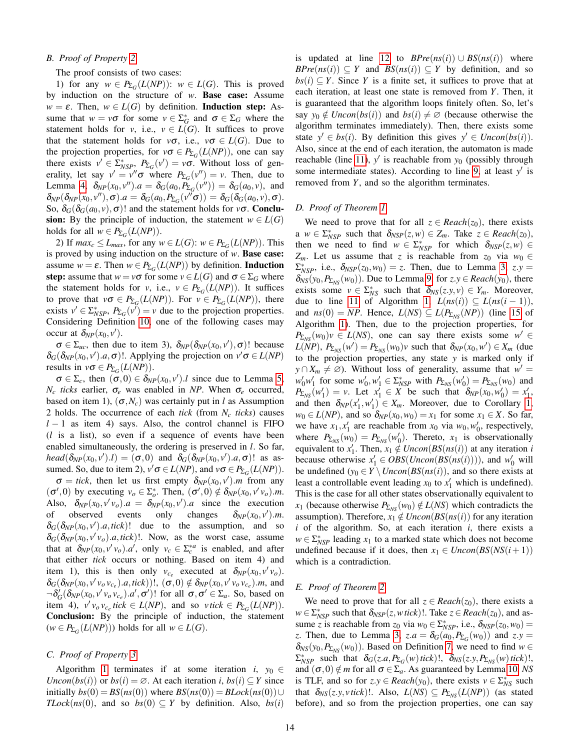## <span id="page-13-0"></span>*B. Proof of Property [2](#page-7-4)*

The proof consists of two cases:

1) for any  $w \in P_{\Sigma_G}(L(NP))$ :  $w \in L(G)$ . This is proved by induction on the structure of *w*. Base case: Assume  $w = \varepsilon$ . Then,  $w \in L(G)$  by definition. **Induction step:** Assume that  $w = v\sigma$  for some  $v \in \Sigma_G^*$  and  $\sigma \in \Sigma_G$  where the statement holds for *v*, i.e.,  $v \in L(G)$ . It suffices to prove that the statement holds for  $v\sigma$ , i.e.,  $v\sigma \in L(G)$ . Due to the projection properties, for  $v\sigma \in P_{\Sigma_G}(L(NP))$ , one can say there exists  $v' \in \sum_{NSP}^*$ ,  $P_{\Sigma_G}(v') = v\sigma$ . Without loss of generality, let say  $v' = v''\sigma$  where  $P_{\Sigma_G}(v'') = v$ . Then, due to Lemma [4,](#page-10-2)  $\delta_{NP}(x_0, v'')$ . $a = \delta_G(a_0, \tilde{P}_{\Sigma_G}(v'')) = \delta_G(a_0, v)$ , and  $\delta_{NP}(\delta_{NP}(x_0, v''), \sigma).a = \delta_G(a_0, P_{\Sigma_G}(v''\sigma)) = \delta_G(\delta_G(a_0, v), \sigma).$ So,  $\delta_G(\delta_G(a_0, v), \sigma)$ ! and the statement holds for  $v\sigma$ . **Conclu**sion: By the principle of induction, the statement  $w \in L(G)$ holds for all  $w \in P_{\Sigma_G}(L(NP)).$ 

2) If  $max_c \le L_{max}$ , for any  $w \in L(G)$ :  $w \in P_{\Sigma_G}(L(NP))$ . This is proved by using induction on the structure of *w*. Base case: assume  $w = \varepsilon$ . Then  $w \in P_{\Sigma_G}(L(NP))$  by definition. **Induction** step: assume that  $w = v\sigma$  for some  $v \in L(G)$  and  $\sigma \in \Sigma_G$  where the statement holds for *v*, i.e.,  $v \in P_{\Sigma_G}(L(NP))$ . It suffices to prove that  $v\sigma \in P_{\Sigma_G}(L(NP))$ . For  $v \in P_{\Sigma_G}(L(NP))$ , there exists  $v' \in \sum_{NSP}^*$ ,  $P_{\Sigma_G}(v') = v$  due to the projection properties. Considering Definition [10,](#page-6-4) one of the following cases may occur at  $\delta_{NP}(x_0, v')$ .

 $\sigma \in \Sigma_{uc}$ , then due to item 3),  $\delta_{NP}(\delta_{NP}(x_0, v'), \sigma)$ ! because  $\delta_G(\delta_{NP}(x_0, v').a, \sigma)$ !. Applying the projection on  $v' \sigma \in L(NP)$ results in  $v\sigma \in P_{\Sigma_G}(L(NP)).$ 

 $\sigma \in \Sigma_c$ , then  $(\sigma, 0) \in \delta_{NP}(x_0, v')$ .*l* since due to Lemma [5,](#page-10-3) *N<sub>c</sub> ticks* earlier,  $σ<sub>e</sub>$  was enabled in *NP*. When  $σ<sub>e</sub>$  occurred, based on item 1),  $(\sigma, N_c)$  was certainly put in *l* as Assumption 2 holds. The occurrence of each *tick* (from *N<sup>c</sup> ticks*) causes *l* − 1 as item 4) says. Also, the control channel is FIFO (*l* is a list), so even if a sequence of events have been enabled simultaneously, the ordering is preserved in *l*. So far, *head*( $\delta_{NP}(x_0, v').$ *l*) = ( $\sigma$ ,0) and  $\delta_G(\delta_{NP}(x_0, v').a, \sigma)$ ! as assumed. So, due to item 2),  $v' \sigma \in L(NP)$ , and  $v \sigma \in P_{\Sigma_G}(L(NP))$ .

 $\sigma = tick$ , then let us first empty  $\delta_{NP}(x_0, v')$ .*m* from any  $(\sigma', 0)$  by executing  $v_o \in \Sigma_o^*$ . Then,  $(\sigma', 0) \notin \delta_{NP}(x_0, v'v_o)$ .*m.* Also,  $\delta_{NP}(x_0, v'v_o) \cdot a = \delta_{NP}(x_0, v') \cdot a$  since the execution of observed events only changes  $^{\prime}$ ).*m*.  $\delta_G(\delta_{NP}(x_0, v').a, tick)!$  due to the assumption, and so  $\delta_G(\delta_{NP}(x_0, v'v_o).a, tick)$ !. Now, as the worst case, assume that at  $\delta_{NP}(x_0, v'v_o) \cdot a'$ , only  $v_c \in \Sigma_c^{*a}$  is enabled, and after that either *tick* occurs or nothing. Based on item 4) and item 1), this is then only  $v_{c_e}$  executed at  $\delta_{NP}(x_0, v'v_o)$ .  $\delta_G(\delta_{NP}(x_0, v'v_ov_{c_e}).a, tick))!$ ,  $(\sigma, 0) \notin \delta_{NP}(x_0, v'v_ov_{c_e}).m$ , and  $\neg \delta_G'(\delta_{NP}(x_0, v'v_0v_{c_e}), a', \sigma')$ ! for all  $\sigma, \sigma' \in \Sigma_a$ . So, based on item 4),  $v'v_0v_{c_e}$  *tick*  $\in L(NP)$ , and so  $v$  *tick*  $\in P_{\Sigma_G}(L(NP))$ . Conclusion: By the principle of induction, the statement  $(w \in P_{\Sigma_G}(L(NP)))$  holds for all  $w \in L(G)$ .

## <span id="page-13-1"></span>*C. Proof of Property [3](#page-7-3)*

Algorithm [1](#page-8-2) terminates if at some iteration *i*,  $y_0 \in$ *Uncon*( $bs(i)$ ) or  $bs(i) = \emptyset$ . At each iteration *i*,  $bs(i) \subseteq Y$  since initially  $bs(0) = BS(ns(0))$  where  $BS(ns(0)) = BLock(ns(0)) \cup$ *TLock*( $ns(0)$ , and so  $bs(0) \subseteq Y$  by definition. Also,  $bs(i)$ 

is updated at line [12](#page-8-2) to  $BPre(ns(i)) \cup BS(ns(i))$  where  $BPre(nS(i)) \subseteq Y$  and  $BS(nS(i)) \subseteq Y$  by definition, and so  $bs(i) \subseteq Y$ . Since *Y* is a finite set, it suffices to prove that at each iteration, at least one state is removed from *Y*. Then, it is guaranteed that the algorithm loops finitely often. So, let's say  $y_0 \notin Uncon(bs(i))$  and  $bs(i) \neq \emptyset$  (because otherwise the algorithm terminates immediately). Then, there exists some state  $y' \in bs(i)$ . By definition this gives  $y' \in Uncon(bs(i))$ . Also, since at the end of each iteration, the automaton is made reachable (line [11\)](#page-8-2),  $y'$  is reachable from  $y_0$  (possibly through some intermediate states). According to line [9,](#page-8-2) at least  $y'$  is removed from *Y*, and so the algorithm terminates.

## <span id="page-13-2"></span>*D. Proof of Theorem [1](#page-8-7)*

We need to prove that for all  $z \in \text{Reach}(z_0)$ , there exists a  $w \in \sum_{NSP}^*$  such that  $\delta_{NSP}(z, w) \in Z_m$ . Take  $z \in Recall(z_0)$ , then we need to find  $w \in \sum_{NSP}^*$  for which  $\delta_{NSP}(z, w) \in$ *Z*<sub>*m*</sub>. Let us assume that *z* is reachable from  $z_0$  via  $w_0 \in$  $\Sigma_{NSP}^*$ , i.e.,  $\delta_{NSP}(z_0, w_0) = z$ . Then, due to Lemma [3,](#page-10-1)  $z.y =$  $\delta_{NS}(y_0, P_{\Sigma_{NS}}(w_0))$ . Due to Lemma [9,](#page-12-1) for  $z. y \in Recall(y_0)$ , there exists some  $v \in \Sigma_{NS}^*$  such that  $\delta_{NS}(z, y, v) \in Y_m$ . Moreover, due to line [11](#page-8-2) of Algorithm [1,](#page-8-2)  $L(ns(i)) \subseteq L(ns(i-1)),$ and  $ns(0) = NP$ . Hence,  $L(NS) \subseteq L(P_{\Sigma_{NS}}(NP))$  (line [15](#page-8-2) of Algorithm [1\)](#page-8-2). Then, due to the projection properties, for  $P_{\Sigma_{NS}}(w_0)v \in L(NS)$ , one can say there exists some  $w' \in$  $L(NP)$ ,  $P_{\Sigma_{NS}}(w') = P_{\Sigma_{NS}}(w_0)v$  such that  $\delta_{NP}(x_0, w') \in X_m$  (due to the projection properties, any state *y* is marked only if *y* ∩  $X_m \neq \emptyset$ ). Without loss of generality, assume that  $w' =$  $w'_0 w'_1$  for some  $w'_0, w'_1 \in \sum_{NSP}^*$  with  $P_{\sum_{NS}}(w'_0) = P_{\sum_{NS}}(w_0)$  and  $P_{\Sigma_{NS}}(w_1') = v$ . Let  $x_1' \in X$  be such that  $\delta_{NP}(x_0, w_0') = x_1'$ , and then  $\delta_{NP}(x'_1, w'_1) \in X_m$ . Moreover, due to Corollary [1,](#page-12-2)  $w_0 \in L(NP)$ , and so  $\delta_{NP}(x_0, w_0) = x_1$  for some  $x_1 \in X$ . So far, we have  $x_1, x_1'$  are reachable from  $x_0$  via  $w_0, w_0'$ , respectively, where  $P_{\Sigma_{NS}}(w_0) = P_{\Sigma_{NS}}(w'_0)$ . Thereto,  $x_1$  is observationally equivalent to  $x'_1$ . Then,  $x_1 \notin Uncon(BS(ns(i))$  at any iteration *i* because otherwise  $x'_1 \in OBS(Uncon(BS(ns(i))))$ , and  $w'_0$  will be undefined  $(y_0 \in Y \setminus Uncon(BS(ns(i)))$ , and so there exists at least a controllable event leading  $x_0$  to  $x'_1$  which is undefined). This is the case for all other states observationally equivalent to *x*<sub>1</sub> (because otherwise  $P_{\Sigma_{NS}}(w_0) \notin L(NS)$  which contradicts the assumption). Therefore,  $x_1 \notin Uncon(BS(ns(i))$  for any iteration *i* of the algorithm. So, at each iteration *i*, there exists a  $w \in \sum_{NSP}^*$  leading  $x_1$  to a marked state which does not become undefined because if it does, then  $x_1 \in Uncon(BS(NS(i+1)))$ which is a contradiction.

## <span id="page-13-3"></span>*E. Proof of Theorem [2](#page-8-8)*

We need to prove that for all  $z \in \text{Reach}(z_0)$ , there exists a  $w \in \sum_{NSP}^*$  such that  $\delta_{NSP}(z, w \text{ tick})$ . Take  $z \in \text{Reach}(z_0)$ , and assume *z* is reachable from  $z_0$  via  $w_0 \in \sum_{NSP}^*$ , i.e.,  $\delta_{NSP}(z_0, w_0) =$ *z*. Then, due to Lemma [3,](#page-10-1)  $z.a = \delta_G(a_0, P_{\Sigma_G}(w_0))$  and  $z.y =$  $\delta_{NS}(y_0, P_{\Sigma_{NS}}(w_0))$ . Based on Definition [7,](#page-5-2) we need to find  $w \in$  $\sum_{NSP}^{*}$  such that  $\delta_G(z.a, P_{\Sigma_G}(w)$  *tick*)!,  $\delta_{NS}(z.y, P_{\Sigma_{NS}}(w)$  *tick*)!, and  $(\sigma, 0) \notin m$  for all  $\sigma \in \Sigma_a$ . As guaranteed by Lemma [10,](#page-12-3) *NS* is TLF, and so for  $z.y \in *Reach*(y<sub>0</sub>)$ , there exists  $v \in \sum_{NS}^*$  such that  $\delta_{NS}(z,y,vtick)$ !. Also,  $L(NS) \subseteq P_{\Sigma_{NS}}(L(NP))$  (as stated before), and so from the projection properties, one can say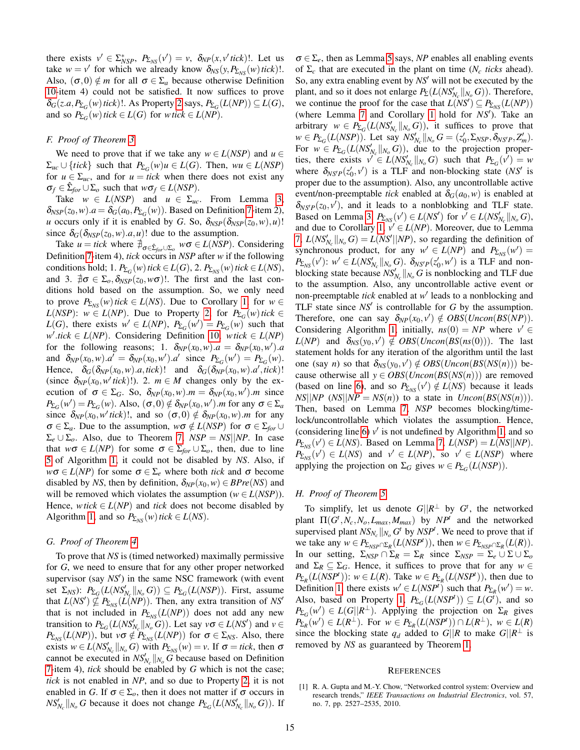there exists  $v' \in \sum_{NSP}^*$ ,  $P_{\sum_{NS}}(v') = v$ ,  $\delta_{NP}(x, v' \text{ tick})$ !. Let us take  $w = v'$  for which we already know  $\delta_{NS}(y, P_{\Sigma_{NS}}(w)$  tick)!. Also,  $(\sigma, 0) \notin m$  for all  $\sigma \in \Sigma_a$  because otherwise Definition [10-](#page-6-4)item 4) could not be satisfied. It now suffices to prove  $\delta_G(z.a, P_{\Sigma_G}(w)$  *tick*)!. As Property [2](#page-7-4) says,  $P_{\Sigma_G}(L(NP)) \subseteq L(G)$ , and so  $P_{\Sigma_G}(w)$  *tick* ∈ *L*(*G*) for *wtick* ∈ *L*(*NP*).

## <span id="page-14-1"></span>*F. Proof of Theorem [3](#page-8-9)*

We need to prove that if we take any  $w \in L(NSP)$  and  $u \in$  $\Sigma_{uc} \cup \{tick\}$  such that  $P_{\Sigma_G}(w)u \in L(G)$ . Then,  $wu \in L(NSP)$ for  $u \in \Sigma_{uc}$ , and for  $u = tick$  when there does not exist any  $\sigma_f \in \hat{\Sigma}_{for} \cup \Sigma_o$  such that  $w\sigma_f \in L(NSP)$ .

Take  $w \in L(NSP)$  and  $u \in \Sigma_{uc}$ . From Lemma [3,](#page-10-1)  $\delta_{NSP}(z_0, w) \cdot a = \delta_G(a_0, P_{\Sigma_G}(w))$ . Based on Definition [7-](#page-5-2)item 2), *u* occurs only if it is enabled by *G*. So,  $\delta_{NSP}(\delta_{NSP}(z_0,w),u)$ ! since  $\delta_G(\delta_{NSP}(z_0,w).a,u)$ ! due to the assumption.

Take  $u = tick$  where  $\sharp_{\sigma \in \hat{\Sigma}_{for} \cup \Sigma_o} w\sigma \in L(NSP)$ . Considering Definition [7-](#page-5-2)item 4), *tick* occurs in *NSP* after *w* if the following conditions hold; 1.  $P_{\Sigma_G}(w)$  *tick*  $\in L(G)$ , 2.  $P_{\Sigma_{NS}}(w)$  *tick*  $\in L(NS)$ , and 3.  $\sharp \sigma \in \Sigma_o$ ,  $\delta_{NSP}(z_0, w\sigma)$ !. The first and the last conditions hold based on the assumption. So, we only need to prove  $P_{\Sigma_{NS}}(w)$  *tick* ∈ *L*(*NS*). Due to Corollary [1,](#page-12-2) for  $w \in$ *L*(*NSP*): *w* ∈ *L*(*NP*). Due to Property [2,](#page-7-4) for  $P_{\Sigma}$ <sub>*G</sub>*(*w*)*tick* ∈</sub> *L*(*G*), there exists  $w' \in L(NP)$ ,  $P_{\Sigma_G}(w') = P_{\Sigma_G}(w)$  such that  $w'$ .tick ∈ *L*(*NP*). Considering Definition [10,](#page-6-4) *wtick* ∈ *L*(*NP*) for the following reasons; 1.  $\delta_{NP}(x_0, w) \cdot a = \delta_{NP}(x_0, w') \cdot a$ and  $\delta_{NP}(x_0, w) \cdot a' = \delta_{NP}(x_0, w') \cdot a'$  since  $P_{\Sigma_G}(w') = P_{\Sigma_G}(w)$ . Hence,  $\delta_G(\delta_{NP}(x_0,w).a,\text{tick})!$  and  $\delta_G(\delta_{NP}(x_0,w).a',\text{tick})!$ (since  $\delta_{NP}(x_0, w'\text{tick})$ !). 2.  $m \in M$  changes only by the execution of  $\sigma \in \Sigma_G$ . So,  $\delta_{NP}(x_0, w)$ .*m* =  $\delta_{NP}(x_0, w')$ .*m* since  $P_{\Sigma_G}(w') = P_{\Sigma_G}(w)$ . Also,  $(\sigma, 0) \notin \delta_{NP}(x_0, w')$ .*m* for any  $\sigma \in \Sigma_a$ since  $\delta_{NP}(x_0, w'\text{tick})$ !, and so  $(\sigma, 0) \notin \delta_{NP}(x_0, w)$ .*m* for any  $\sigma \in \Sigma_a$ . Due to the assumption,  $w\sigma \notin L(NSP)$  for  $\sigma \in \Sigma_{for} \cup$  $\Sigma_e \cup \Sigma_o$ . Also, due to Theorem [7,](#page-11-1) *NSP* = *NS*||*NP*. In case that  $w\sigma \in L(NP)$  for some  $\sigma \in \Sigma_{for} \cup \Sigma_o$ , then, due to line [5](#page-8-2) of Algorithm [1,](#page-8-2) it could not be disabled by *NS*. Also, if  $w\sigma \in L(NP)$  for some  $\sigma \in \Sigma_e$  where both *tick* and  $\sigma$  become disabled by *NS*, then by definition,  $\delta_{NP}(x_0, w) \in BPre(NS)$  and will be removed which violates the assumption ( $w \in L(NSP)$ ). Hence, *wtick*  $\in L(NP)$  and *tick* does not become disabled by Algorithm [1,](#page-8-2) and so  $P_{\Sigma_{NS}}(w)$  *tick*  $\in L(NS)$ .

#### <span id="page-14-2"></span>*G. Proof of Theorem [4](#page-8-10)*

To prove that *NS* is (timed networked) maximally permissive for *G*, we need to ensure that for any other proper networked supervisor (say *NS'*) in the same NSC framework (with event set  $\Sigma_{NS}$ :  $P_{\Sigma_G}(L(NS'_{N_c}||_{N_o}G)) \subseteq P_{\Sigma_G}(L(NSP))$ . First, assume that  $L(NS') \nsubseteq P_{\Sigma_{NS}}(L(NP))$ . Then, any extra transition of *NS'* that is not included in  $P_{\Sigma_{NS}}(L(NP))$  does not add any new transition to  $P_{\Sigma_G}(L(NS'_{N_c}||_{N_o}G))$ . Let say  $v\sigma \in L(NS')$  and  $v \in$  $P_{\Sigma_{NS}}(L(NP))$ , but  $\nu \sigma \notin P_{\Sigma_{NS}}(L(NP))$  for  $\sigma \in \Sigma_{NS}$ . Also, there exists  $w \in L(NS'_{N_c}||_{N_o}G)$  with  $P_{\Sigma_{NS}}(w) = v$ . If  $\sigma = tick$ , then  $\sigma$ cannot be executed in  $NS'_{N_c}$   $\parallel_{N_o} G$  because based on Definition [7-](#page-5-2)item 4), *tick* should be enabled by *G* which is not the case; *tick* is not enabled in *NP*, and so due to Property [2,](#page-7-4) it is not enabled in *G*. If  $\sigma \in \Sigma_o$ , then it does not matter if  $\sigma$  occurs in *NS*<sup> $\prime$ </sup><sub>*N<sub>c</sub></sub>*  $||_{N_o}$  *G* because it does not change  $P_{\Sigma_G}(L(NS'_{N_c}||_{N_o}G))$ . If</sub>  $\sigma \in \Sigma_e$ , then as Lemma [5](#page-10-3) says, *NP* enables all enabling events of Σ*<sup>c</sup>* that are executed in the plant on time (*N<sup>c</sup> ticks* ahead). So, any extra enabling event by *NS'* will not be executed by the plant, and so it does not enlarge  $P_{\Sigma}(L(NS'_{N_c}||_{N_o}G))$ . Therefore, we continue the proof for the case that  $L(NS') \subseteq P_{\Sigma_{NS}}(L(NP))$ (where Lemma [7](#page-11-1) and Corollary [1](#page-12-2) hold for *NS'*). Take an arbitrary  $w \in P_{\Sigma_G}(L(NS'_{N_c}||_{N_o}G))$ , it suffices to prove that  $w \in P_{\Sigma_G}(L(NSP))$ . Let say  $NS'_{N_c}||_{N_o}$   $G = (z'_0, \Sigma_{NSP}, \delta_{NSP}, Z'_m)$ . For  $w \in P_{\Sigma_G}(L(NS'_{N_c}||_{N_o}G))$ , due to the projection properties, there exists  $v' \in L(NS'_{N_c}||_{N_o}G)$  such that  $P_{\Sigma_G}(v') = w$ where  $\delta_{NS}P(z'_0, v')$  is a TLF and non-blocking state (*NS'* is proper due to the assumption). Also, any uncontrollable active event/non-preemptable *tick* enabled at  $\delta_G(a_0, w)$  is enabled at  $\delta_{NS'P}(z_0, v')$ , and it leads to a nonblobking and TLF state. Based on Lemma [3,](#page-10-1)  $P_{\Sigma_{NS}}(v') \in L(NS')$  for  $v' \in L(NS'_{N_c}||_{N_o}G)$ , and due to Corollary [1,](#page-12-2)  $v' \in L(NP)$ . Moreover, due to Lemma [7,](#page-11-1)  $L(NS'_{N_c}||_{N_o} G) = L(NS'||NP)$ , so regarding the definition of synchronous product, for any  $w' \in L(NP)$  and  $P_{\Sigma_{NS}}(w') =$  $P_{\Sigma_{NS}}(v')$ :  $w' \in L(NS'_{N_c}||_{N_o}G)$ .  $\delta_{NS'P}(z'_0, w')$  is a TLF and nonblocking state because  $NS'_{N_c}$  ||<sub>No</sub> G is nonblocking and TLF due to the assumption. Also, any uncontrollable active event or non-preemptable *tick* enabled at w' leads to a nonblocking and TLF state since  $NS'$  is controllable for  $G$  by the assumption. Therefore, one can say  $\delta_{NP}(x_0, v') \notin OBS(Uncon(BS(NP)).$ Considering Algorithm [1,](#page-8-2) initially,  $ns(0) = NP$  where  $v' \in$  $L(NP)$  and  $\delta_{NS}(y_0, v') \notin OBS(Uncon(BS(ns(0)))$ . The last statement holds for any iteration of the algorithm until the last one (say *n*) so that  $\delta_{NS}(y_0, v') \notin OBS(Uncon(BS(NS(n)))$  because otherwise all  $y \in OBS(Uncon(BS(NS(n)))$  are removed (based on line [6\)](#page-8-2), and so  $P_{\Sigma_{NS}}(v') \notin L(NS)$  because it leads  $NS||NP$  ( $NS||NP = NS(n)$ ) to a state in *Uncon*( $BS(NS(n))$ ). Then, based on Lemma [7,](#page-11-1) *NSP* becomes blocking/timelock/uncontrollable which violates the assumption. Hence, (considering line [6\)](#page-8-2)  $v'$  is not undefined by Algorithm [1,](#page-8-2) and so  $P_{\Sigma_{NS}}(v') \in L(NS)$ . Based on Lemma [7,](#page-11-1)  $L(NSP) = L(NS||NP)$ .  $P_{\Sigma_{NS}}(v') \in L(NS)$  and  $v' \in L(NP)$ , so  $v' \in L(NSP)$  where applying the projection on  $\Sigma_G$  gives  $w \in P_{\Sigma_G}(L(NSP))$ .

#### <span id="page-14-3"></span>*H. Proof of Theorem [5](#page-9-3)*

To simplify, let us denote  $G||R^{\perp}$  by  $G^t$ , the networked plant  $\Pi(G^t, N_c, N_o, L_{max}, M_{max})$  by  $NP^t$  and the networked supervised plant  $NS_{N_c}$  || $_{N_o}$  *G<sup>t</sup>* by *NSP<sup>t</sup>*. We need to prove that if we take any  $w \in P_{\sum_{NS}P \cap \sum_{R}}(L(NSP^t))$ , then  $w \in P_{\sum_{NS}P \cap \sum_{R}}(L(R))$ . In our setting,  $\Sigma_{NSP} \cap \Sigma_R = \Sigma_R$  since  $\Sigma_{NSP} = \Sigma_e \cup \Sigma \cup \Sigma_o$ and  $\Sigma_R \subseteq \Sigma_G$ . Hence, it suffices to prove that for any  $w \in$ *P*<sub>Σ*R*</sub></sub>(*L*(*NSP<sup><i>t*</sup>)): *w* ∈ *L*(*R*). Take *w* ∈ *P*<sub>Σ*R*</sub>(*L*(*NSP<sup><i>t*</sup>)), then due to Definition [1,](#page-2-1) there exists  $w' \in L(NSP<sup>t</sup>)$  such that  $P_{\Sigma_R}(w') = w$ . Also, based on Property [1,](#page-5-3)  $P_{\Sigma_G}(L(NSP^t)) \subseteq L(G^t)$ , and so  $P_{\Sigma_G}(w') \in L(G||R^{\perp})$ . Applying the projection on  $\Sigma_R$  gives  $P_{\Sigma_R}(w') \in L(R^{\perp}).$  For  $w \in P_{\Sigma_R}(L(NSP^t)) \cap L(R^{\perp}), w \in L(R)$ since the blocking state  $q_d$  added to  $G||R$  to make  $G||R^{\perp}$  is removed by *NS* as guaranteed by Theorem [1.](#page-8-7)

#### **REFERENCES**

<span id="page-14-0"></span><sup>[1]</sup> R. A. Gupta and M.-Y. Chow, "Networked control system: Overview and research trends," *IEEE Transactions on Industrial Electronics*, vol. 57, no. 7, pp. 2527–2535, 2010.